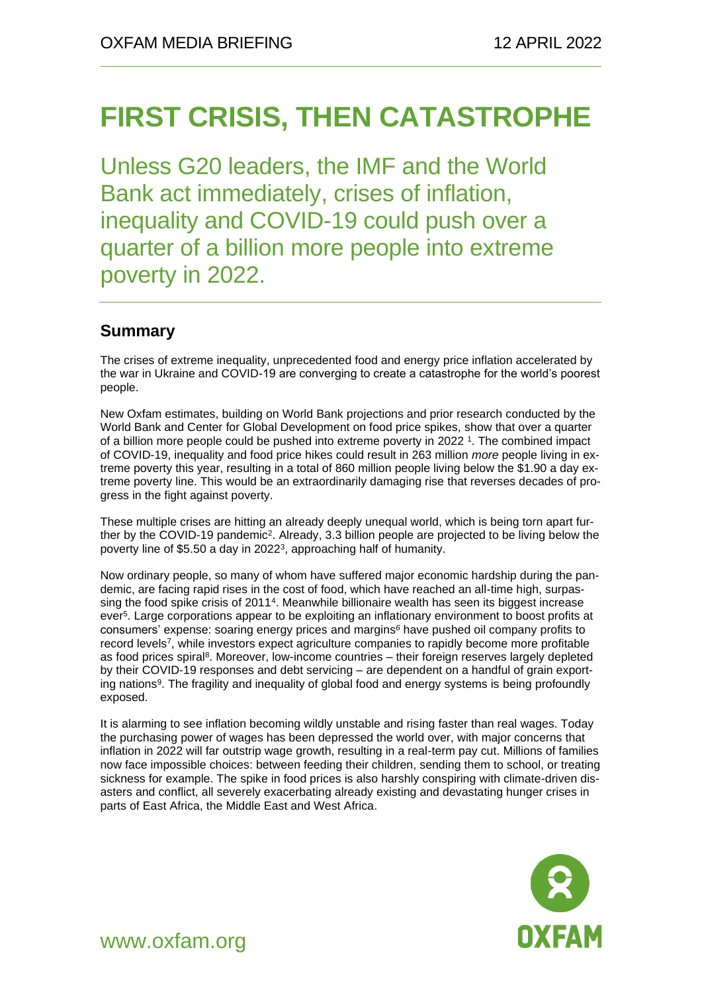# **FIRST CRISIS, THEN CATASTROPHE**

Unless G20 leaders, the IMF and the World Bank act immediately, crises of inflation, inequality and COVID-19 could push over a quarter of a billion more people into extreme poverty in 2022.

## **Summary**

The crises of extreme inequality, unprecedented food and energy price inflation accelerated by the war in Ukraine and COVID-19 are converging to create a catastrophe for the world's poorest people.

New Oxfam estimates, building on World Bank projections and prior research conducted by the World Bank and Center for Global Development on food price spikes, show that over a quarter of a billion more people could be pushed into extreme poverty in 2022<sup>1</sup>. The combined impact of COVID-19, inequality and food price hikes could result in 263 million *more* people living in extreme poverty this year, resulting in a total of 860 million people living below the \$1.90 a day extreme poverty line. This would be an extraordinarily damaging rise that reverses decades of progress in the fight against poverty.

These multiple crises are hitting an already deeply unequal world, which is being torn apart further by the COVID-19 pandemic<sup>2</sup>. Already, 3.3 billion people are projected to be living below the poverty line of \$5.50 a day in 2022<sup>3</sup>, approaching half of humanity.

Now ordinary people, so many of whom have suffered major economic hardship during the pandemic, are facing rapid rises in the cost of food, which have reached an all-time high, surpassing the food spike crisis of 2011<sup>4</sup>. Meanwhile billionaire wealth has seen its biggest increase ever<sup>5</sup> . Large corporations appear to be exploiting an inflationary environment to boost profits at consumers' expense: soaring energy prices and margins*<sup>6</sup>* have pushed oil company profits to record levels<sup>7</sup> , while investors expect agriculture companies to rapidly become more profitable as food prices spiral<sup>8</sup>. Moreover, low-income countries – their foreign reserves largely depleted by their COVID-19 responses and debt servicing – are dependent on a handful of grain exporting nations<sup>9</sup>. The fragility and inequality of global food and energy systems is being profoundly exposed.

It is alarming to see inflation becoming wildly unstable and rising faster than real wages. Today the purchasing power of wages has been depressed the world over, with major concerns that inflation in 2022 will far outstrip wage growth, resulting in a real-term pay cut. Millions of families now face impossible choices: between feeding their children, sending them to school, or treating sickness for example. The spike in food prices is also harshly conspiring with climate-driven disasters and conflict, all severely exacerbating already existing and devastating hunger crises in parts of East Africa, the Middle East and West Africa.



www.oxfam.org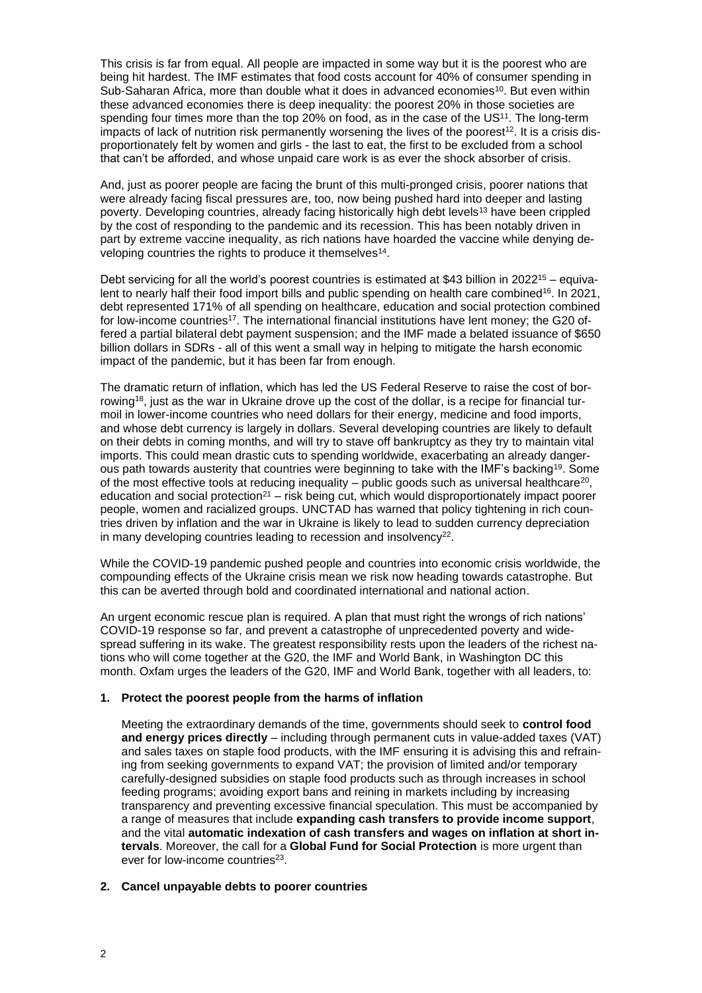This crisis is far from equal. All people are impacted in some way but it is the poorest who are being hit hardest. The IMF estimates that food costs account for 40% of consumer spending in Sub-Saharan Africa, more than double what it does in advanced economies<sup>10</sup>. But even within these advanced economies there is deep inequality: the poorest 20% in those societies are spending four times more than the top 20% on food, as in the case of the US<sup>11</sup>. The long-term impacts of lack of nutrition risk permanently worsening the lives of the poorest<sup>12</sup>. It is a crisis disproportionately felt by women and girls - the last to eat, the first to be excluded from a school that can't be afforded, and whose unpaid care work is as ever the shock absorber of crisis.

And, just as poorer people are facing the brunt of this multi-pronged crisis, poorer nations that were already facing fiscal pressures are, too, now being pushed hard into deeper and lasting poverty. Developing countries, already facing historically high debt levels<sup>13</sup> have been crippled by the cost of responding to the pandemic and its recession. This has been notably driven in part by extreme vaccine inequality, as rich nations have hoarded the vaccine while denying developing countries the rights to produce it themselves<sup>14</sup>.

Debt servicing for all the world's poorest countries is estimated at \$43 billion in 2022<sup>15</sup> – equivalent to nearly half their food import bills and public spending on health care combined<sup>16</sup>. In 2021, debt represented 171% of all spending on healthcare, education and social protection combined for low-income countries<sup>17</sup>. The international financial institutions have lent money; the G20 offered a partial bilateral debt payment suspension; and the IMF made a belated issuance of \$650 billion dollars in SDRs - all of this went a small way in helping to mitigate the harsh economic impact of the pandemic, but it has been far from enough.

The dramatic return of inflation, which has led the US Federal Reserve to raise the cost of borrowing<sup>18</sup>, just as the war in Ukraine drove up the cost of the dollar, is a recipe for financial turmoil in lower-income countries who need dollars for their energy, medicine and food imports, and whose debt currency is largely in dollars. Several developing countries are likely to default on their debts in coming months, and will try to stave off bankruptcy as they try to maintain vital imports. This could mean drastic cuts to spending worldwide, exacerbating an already dangerous path towards austerity that countries were beginning to take with the IMF's backing<sup>19</sup>. Some of the most effective tools at reducing inequality  $-$  public goods such as universal healthcare<sup>20</sup>, education and social protection<sup>21</sup> – risk being cut, which would disproportionately impact poorer people, women and racialized groups. UNCTAD has warned that policy tightening in rich countries driven by inflation and the war in Ukraine is likely to lead to sudden currency depreciation in many developing countries leading to recession and insolvency<sup>22</sup>.

While the COVID-19 pandemic pushed people and countries into economic crisis worldwide, the compounding effects of the Ukraine crisis mean we risk now heading towards catastrophe. But this can be averted through bold and coordinated international and national action.

An urgent economic rescue plan is required. A plan that must right the wrongs of rich nations' COVID-19 response so far, and prevent a catastrophe of unprecedented poverty and widespread suffering in its wake. The greatest responsibility rests upon the leaders of the richest nations who will come together at the G20, the IMF and World Bank, in Washington DC this month. Oxfam urges the leaders of the G20, IMF and World Bank, together with all leaders, to:

#### **1. Protect the poorest people from the harms of inflation**

Meeting the extraordinary demands of the time, governments should seek to **control food and energy prices directly** – including through permanent cuts in value-added taxes (VAT) and sales taxes on staple food products, with the IMF ensuring it is advising this and refraining from seeking governments to expand VAT; the provision of limited and/or temporary carefully-designed subsidies on staple food products such as through increases in school feeding programs; avoiding export bans and reining in markets including by increasing transparency and preventing excessive financial speculation. This must be accompanied by a range of measures that include **expanding cash transfers to provide income support**, and the vital **automatic indexation of cash transfers and wages on inflation at short intervals**. Moreover, the call for a **Global Fund for Social Protection** is more urgent than ever for low-income countries<sup>23</sup>.

#### **2. Cancel unpayable debts to poorer countries**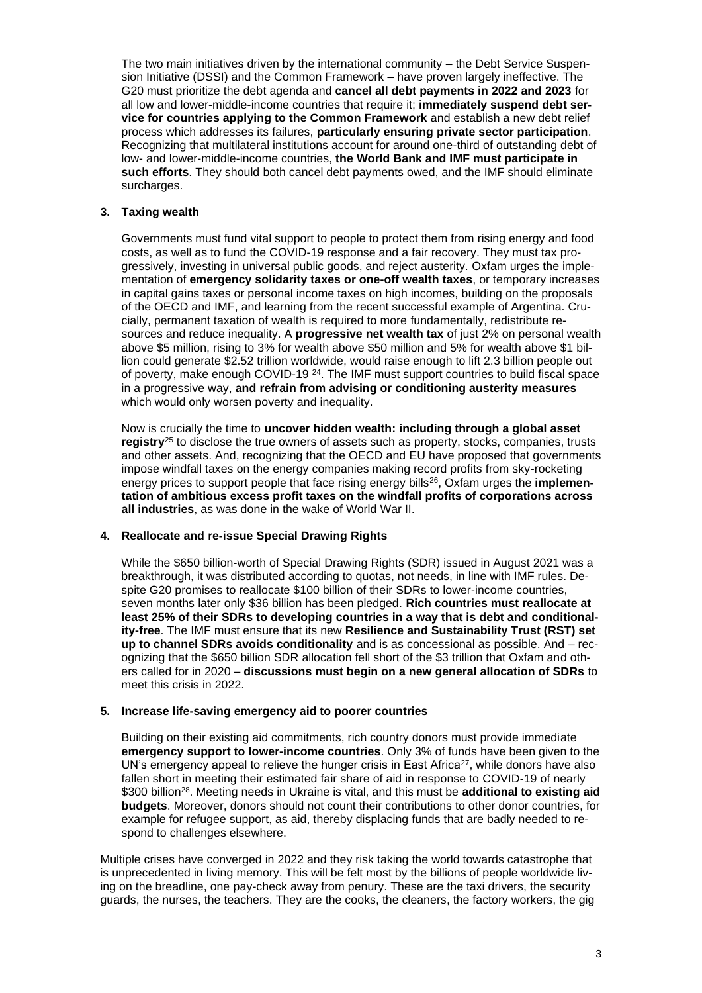The two main initiatives driven by the international community – the Debt Service Suspension Initiative (DSSI) and the Common Framework – have proven largely ineffective. The G20 must prioritize the debt agenda and **cancel all debt payments in 2022 and 2023** for all low and lower-middle-income countries that require it; **immediately suspend debt service for countries applying to the Common Framework** and establish a new debt relief process which addresses its failures, **particularly ensuring private sector participation**. Recognizing that multilateral institutions account for around one-third of outstanding debt of low- and lower-middle-income countries, **the World Bank and IMF must participate in such efforts**. They should both cancel debt payments owed, and the IMF should eliminate surcharges.

#### **3. Taxing wealth**

Governments must fund vital support to people to protect them from rising energy and food costs, as well as to fund the COVID-19 response and a fair recovery. They must tax progressively, investing in universal public goods, and reject austerity. Oxfam urges the implementation of **emergency solidarity taxes or one-off wealth taxes**, or temporary increases in capital gains taxes or personal income taxes on high incomes, building on the proposals of the OECD and IMF, and learning from the recent successful example of Argentina. Crucially, permanent taxation of wealth is required to more fundamentally, redistribute resources and reduce inequality. A **progressive net wealth tax** of just 2% on personal wealth above \$5 million, rising to 3% for wealth above \$50 million and 5% for wealth above \$1 billion could generate \$2.52 trillion worldwide, would raise enough to lift 2.3 billion people out of poverty, make enough COVID-19 <sup>24</sup>. The IMF must support countries to build fiscal space in a progressive way, **and refrain from advising or conditioning austerity measures** which would only worsen poverty and inequality.

Now is crucially the time to **uncover hidden wealth: including through a global asset registry**<sup>25</sup> to disclose the true owners of assets such as property, stocks, companies, trusts and other assets. And, recognizing that the OECD and EU have proposed that governments impose windfall taxes on the energy companies making record profits from sky-rocketing energy prices to support people that face rising energy bills<sup>26</sup>, Oxfam urges the **implementation of ambitious excess profit taxes on the windfall profits of corporations across all industries**, as was done in the wake of World War II.

#### **4. Reallocate and re-issue Special Drawing Rights**

While the \$650 billion-worth of Special Drawing Rights (SDR) issued in August 2021 was a breakthrough, it was distributed according to quotas, not needs, in line with IMF rules. Despite G20 promises to reallocate \$100 billion of their SDRs to lower-income countries, seven months later only \$36 billion has been pledged. **Rich countries must reallocate at least 25% of their SDRs to developing countries in a way that is debt and conditionality-free**. The IMF must ensure that its new **Resilience and Sustainability Trust (RST) set up to channel SDRs avoids conditionality** and is as concessional as possible. And – recognizing that the \$650 billion SDR allocation fell short of the \$3 trillion that Oxfam and others called for in 2020 – **discussions must begin on a new general allocation of SDRs** to meet this crisis in 2022.

#### **5. Increase life-saving emergency aid to poorer countries**

Building on their existing aid commitments, rich country donors must provide immediate **emergency support to lower-income countries**. Only 3% of funds have been given to the UN's emergency appeal to relieve the hunger crisis in East Africa<sup>27</sup>, while donors have also fallen short in meeting their estimated fair share of aid in response to COVID-19 of nearly \$300 billion <sup>28</sup>. Meeting needs in Ukraine is vital, and this must be **additional to existing aid budgets**. Moreover, donors should not count their contributions to other donor countries, for example for refugee support, as aid, thereby displacing funds that are badly needed to respond to challenges elsewhere.

Multiple crises have converged in 2022 and they risk taking the world towards catastrophe that is unprecedented in living memory. This will be felt most by the billions of people worldwide living on the breadline, one pay-check away from penury. These are the taxi drivers, the security guards, the nurses, the teachers. They are the cooks, the cleaners, the factory workers, the gig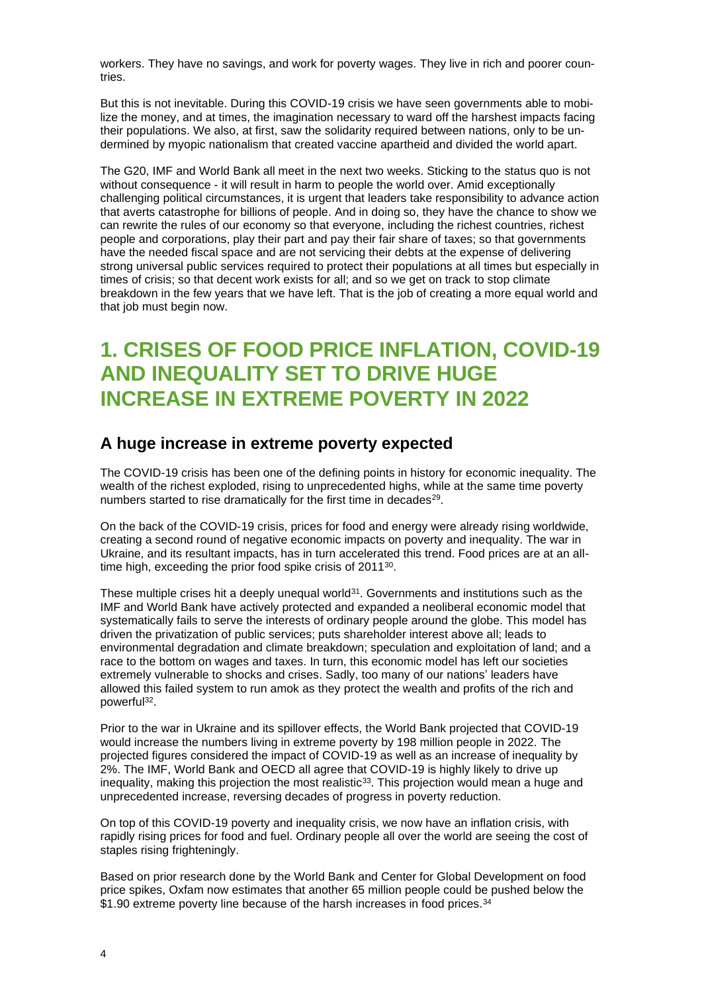workers. They have no savings, and work for poverty wages. They live in rich and poorer countries.

But this is not inevitable. During this COVID-19 crisis we have seen governments able to mobilize the money, and at times, the imagination necessary to ward off the harshest impacts facing their populations. We also, at first, saw the solidarity required between nations, only to be undermined by myopic nationalism that created vaccine apartheid and divided the world apart.

The G20, IMF and World Bank all meet in the next two weeks. Sticking to the status quo is not without consequence - it will result in harm to people the world over. Amid exceptionally challenging political circumstances, it is urgent that leaders take responsibility to advance action that averts catastrophe for billions of people. And in doing so, they have the chance to show we can rewrite the rules of our economy so that everyone, including the richest countries, richest people and corporations, play their part and pay their fair share of taxes; so that governments have the needed fiscal space and are not servicing their debts at the expense of delivering strong universal public services required to protect their populations at all times but especially in times of crisis; so that decent work exists for all; and so we get on track to stop climate breakdown in the few years that we have left. That is the job of creating a more equal world and that job must begin now.

## **1. CRISES OF FOOD PRICE INFLATION, COVID-19 AND INEQUALITY SET TO DRIVE HUGE INCREASE IN EXTREME POVERTY IN 2022**

### **A huge increase in extreme poverty expected**

The COVID-19 crisis has been one of the defining points in history for economic inequality. The wealth of the richest exploded, rising to unprecedented highs, while at the same time poverty numbers started to rise dramatically for the first time in decades<sup>29</sup>.

On the back of the COVID-19 crisis, prices for food and energy were already rising worldwide, creating a second round of negative economic impacts on poverty and inequality. The war in Ukraine, and its resultant impacts, has in turn accelerated this trend. Food prices are at an alltime high, exceeding the prior food spike crisis of 2011<sup>30</sup>.

These multiple crises hit a deeply unequal world<sup>31</sup>. Governments and institutions such as the IMF and World Bank have actively protected and expanded a neoliberal economic model that systematically fails to serve the interests of ordinary people around the globe. This model has driven the privatization of public services; puts shareholder interest above all; leads to environmental degradation and climate breakdown; speculation and exploitation of land; and a race to the bottom on wages and taxes. In turn, this economic model has left our societies extremely vulnerable to shocks and crises. Sadly, too many of our nations' leaders have allowed this failed system to run amok as they protect the wealth and profits of the rich and powerful<sup>32</sup>.

Prior to the war in Ukraine and its spillover effects, the World Bank projected that COVID-19 would increase the numbers living in extreme poverty by 198 million people in 2022. The projected figures considered the impact of COVID-19 as well as an increase of inequality by 2%. The IMF, World Bank and OECD all agree that COVID-19 is highly likely to drive up inequality, making this projection the most realistic<sup>33</sup>. This projection would mean a huge and unprecedented increase, reversing decades of progress in poverty reduction.

On top of this COVID-19 poverty and inequality crisis, we now have an inflation crisis, with rapidly rising prices for food and fuel. Ordinary people all over the world are seeing the cost of staples rising frighteningly.

Based on prior research done by the World Bank and Center for Global Development on food price spikes, Oxfam now estimates that another 65 million people could be pushed below the \$1.90 extreme poverty line because of the harsh increases in food prices.<sup>34</sup>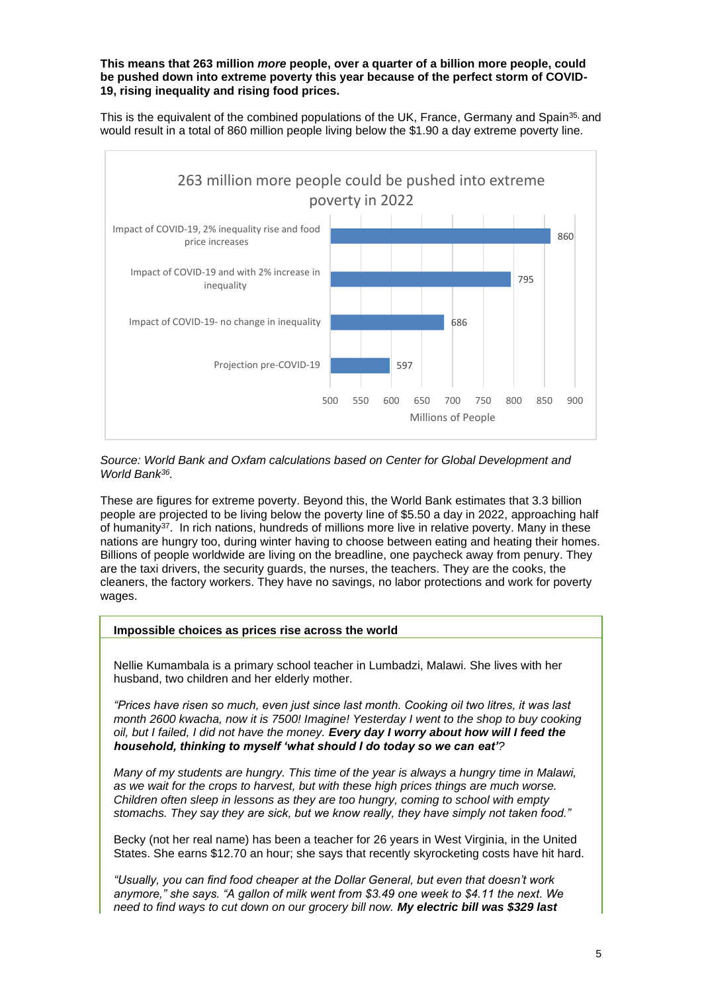#### **This means that 263 million** *more* **people, over a quarter of a billion more people, could be pushed down into extreme poverty this year because of the perfect storm of COVID-19, rising inequality and rising food prices.**

This is the equivalent of the combined populations of the UK, France, Germany and Spain<sup>35,</sup> and would result in a total of 860 million people living below the \$1.90 a day extreme poverty line.



*Source: World Bank and Oxfam calculations based on Center for Global Development and World Bank<sup>36</sup> .* 

These are figures for extreme poverty. Beyond this, the World Bank estimates that 3.3 billion people are projected to be living below the poverty line of \$5.50 a day in 2022, approaching half of humanity<sup>37</sup>. In rich nations, hundreds of millions more live in relative poverty. Many in these nations are hungry too, during winter having to choose between eating and heating their homes. Billions of people worldwide are living on the breadline, one paycheck away from penury. They are the taxi drivers, the security guards, the nurses, the teachers. They are the cooks, the cleaners, the factory workers. They have no savings, no labor protections and work for poverty wages.

#### **Impossible choices as prices rise across the world**

Nellie Kumambala is a primary school teacher in Lumbadzi, Malawi. She lives with her husband, two children and her elderly mother.

*"Prices have risen so much, even just since last month. Cooking oil two litres, it was last month 2600 kwacha, now it is 7500! Imagine! Yesterday I went to the shop to buy cooking oil, but I failed, I did not have the money. Every day I worry about how will I feed the household, thinking to myself 'what should I do today so we can eat'?* 

*Many of my students are hungry. This time of the year is always a hungry time in Malawi, as we wait for the crops to harvest, but with these high prices things are much worse. Children often sleep in lessons as they are too hungry, coming to school with empty stomachs. They say they are sick, but we know really, they have simply not taken food."*

Becky (not her real name) has been a teacher for 26 years in West Virginia, in the United States. She earns \$12.70 an hour; she says that recently skyrocketing costs have hit hard.

*"Usually, you can find food cheaper at the Dollar General, but even that doesn't work anymore," she says. "A gallon of milk went from \$3.49 one week to \$4.11 the next. We need to find ways to cut down on our grocery bill now. My electric bill was \$329 last*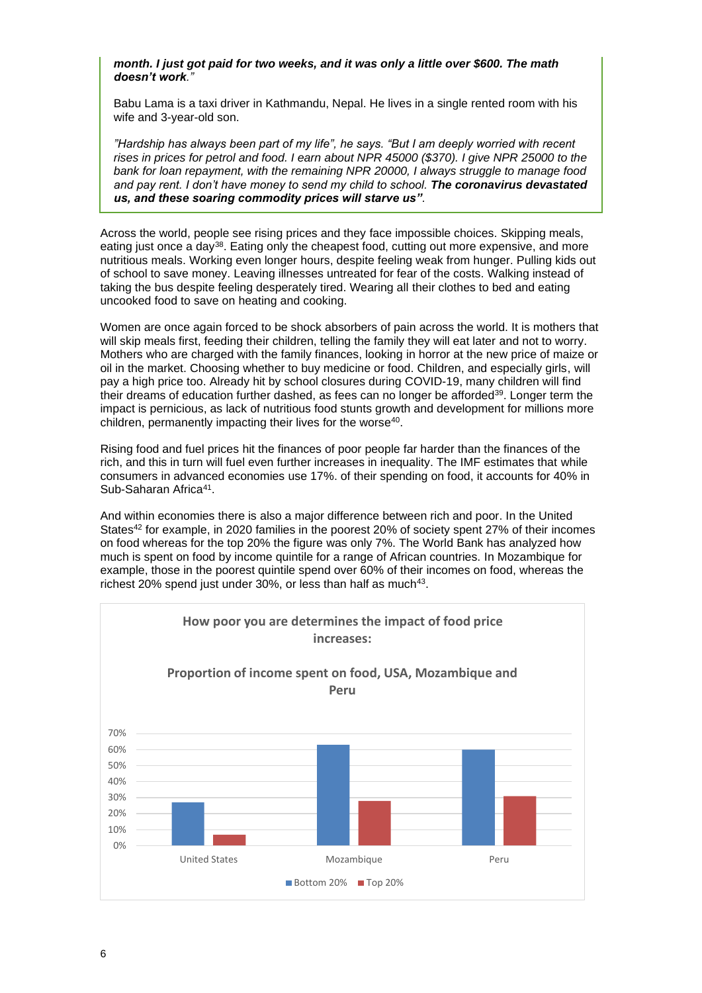#### *month. I just got paid for two weeks, and it was only a little over \$600. The math doesn't work."*

Babu Lama is a taxi driver in Kathmandu, Nepal. He lives in a single rented room with his wife and 3-year-old son.

*"Hardship has always been part of my life", he says. "But I am deeply worried with recent rises in prices for petrol and food. I earn about NPR 45000 (\$370). I give NPR 25000 to the bank for loan repayment, with the remaining NPR 20000, I always struggle to manage food and pay rent. I don't have money to send my child to school. The coronavirus devastated us, and these soaring commodity prices will starve us".* 

Across the world, people see rising prices and they face impossible choices. Skipping meals, eating just once a day<sup>38</sup>. Eating only the cheapest food, cutting out more expensive, and more nutritious meals. Working even longer hours, despite feeling weak from hunger. Pulling kids out of school to save money. Leaving illnesses untreated for fear of the costs. Walking instead of taking the bus despite feeling desperately tired. Wearing all their clothes to bed and eating uncooked food to save on heating and cooking.

Women are once again forced to be shock absorbers of pain across the world. It is mothers that will skip meals first, feeding their children, telling the family they will eat later and not to worry. Mothers who are charged with the family finances, looking in horror at the new price of maize or oil in the market. Choosing whether to buy medicine or food. Children, and especially girls, will pay a high price too. Already hit by school closures during COVID-19, many children will find their dreams of education further dashed, as fees can no longer be afforded<sup>39</sup>. Longer term the impact is pernicious, as lack of nutritious food stunts growth and development for millions more children, permanently impacting their lives for the worse<sup>40</sup>.

Rising food and fuel prices hit the finances of poor people far harder than the finances of the rich, and this in turn will fuel even further increases in inequality. The IMF estimates that while consumers in advanced economies use 17%. of their spending on food, it accounts for 40% in Sub-Saharan Africa<sup>41</sup>.

And within economies there is also a major difference between rich and poor. In the United States<sup>42</sup> for example, in 2020 families in the poorest 20% of society spent 27% of their incomes on food whereas for the top 20% the figure was only 7%. The World Bank has analyzed how much is spent on food by income quintile for a range of African countries. In Mozambique for example, those in the poorest quintile spend over 60% of their incomes on food, whereas the richest 20% spend just under 30%, or less than half as much $43$ .

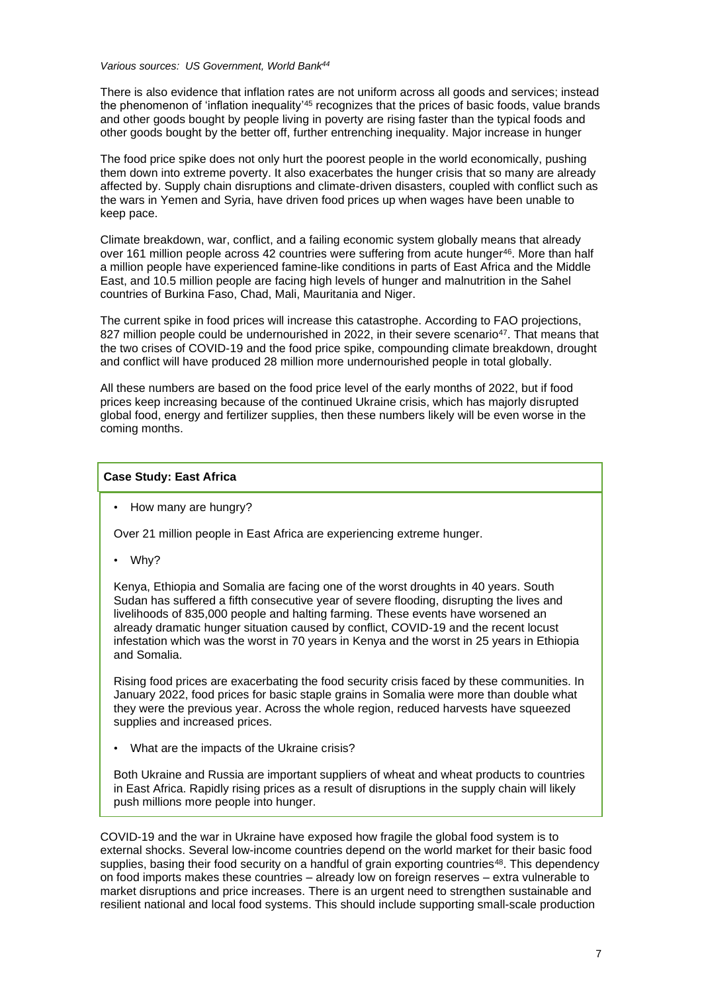#### *Various sources: US Government, World Bank<sup>44</sup>*

There is also evidence that inflation rates are not uniform across all goods and services; instead the phenomenon of 'inflation inequality'<sup>45</sup> recognizes that the prices of basic foods, value brands and other goods bought by people living in poverty are rising faster than the typical foods and other goods bought by the better off, further entrenching inequality. Major increase in hunger

The food price spike does not only hurt the poorest people in the world economically, pushing them down into extreme poverty. It also exacerbates the hunger crisis that so many are already affected by. Supply chain disruptions and climate-driven disasters, coupled with conflict such as the wars in Yemen and Syria, have driven food prices up when wages have been unable to keep pace.

Climate breakdown, war, conflict, and a failing economic system globally means that already over 161 million people across 42 countries were suffering from acute hunger<sup>46</sup>. More than half a million people have experienced famine-like conditions in parts of East Africa and the Middle East, and 10.5 million people are facing high levels of hunger and malnutrition in the Sahel countries of Burkina Faso, Chad, Mali, Mauritania and Niger.

The current spike in food prices will increase this catastrophe. According to FAO projections, 827 million people could be undernourished in 2022, in their severe scenario<sup>47</sup>. That means that the two crises of COVID-19 and the food price spike, compounding climate breakdown, drought and conflict will have produced 28 million more undernourished people in total globally.

All these numbers are based on the food price level of the early months of 2022, but if food prices keep increasing because of the continued Ukraine crisis, which has majorly disrupted global food, energy and fertilizer supplies, then these numbers likely will be even worse in the coming months.

#### **Case Study: East Africa**

• How many are hungry?

Over 21 million people in East Africa are experiencing extreme hunger.

• Why?

Kenya, Ethiopia and Somalia are facing one of the worst droughts in 40 years. South Sudan has suffered a fifth consecutive year of severe flooding, disrupting the lives and livelihoods of 835,000 people and halting farming. These events have worsened an already dramatic hunger situation caused by conflict, COVID-19 and the recent locust infestation which was the worst in 70 years in Kenya and the worst in 25 years in Ethiopia and Somalia.

Rising food prices are exacerbating the food security crisis faced by these communities. In January 2022, food prices for basic staple grains in Somalia were more than double what they were the previous year. Across the whole region, reduced harvests have squeezed supplies and increased prices.

• What are the impacts of the Ukraine crisis?

Both Ukraine and Russia are important suppliers of wheat and wheat products to countries in East Africa. Rapidly rising prices as a result of disruptions in the supply chain will likely push millions more people into hunger.

COVID-19 and the war in Ukraine have exposed how fragile the global food system is to external shocks. Several low-income countries depend on the world market for their basic food supplies, basing their food security on a handful of grain exporting countries<sup>48</sup>. This dependency on food imports makes these countries – already low on foreign reserves – extra vulnerable to market disruptions and price increases. There is an urgent need to strengthen sustainable and resilient national and local food systems. This should include supporting small-scale production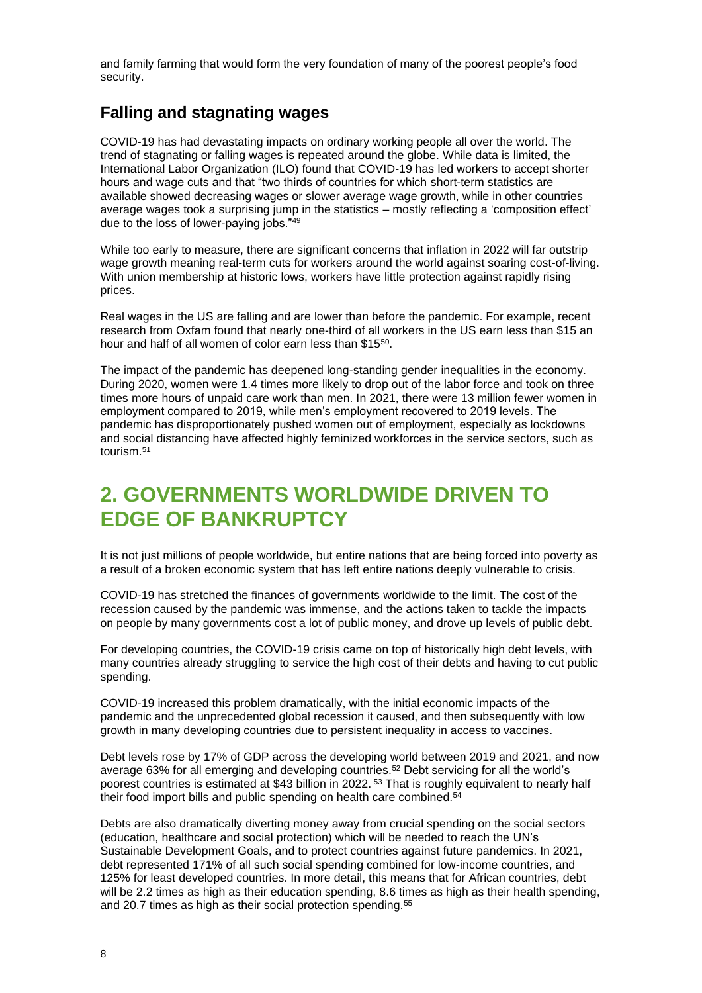and family farming that would form the very foundation of many of the poorest people's food security.

## **Falling and stagnating wages**

COVID-19 has had devastating impacts on ordinary working people all over the world. The trend of stagnating or falling wages is repeated around the globe. While data is limited, the International Labor Organization (ILO) found that COVID-19 has led workers to accept shorter hours and wage cuts and that "two thirds of countries for which short-term statistics are available showed decreasing wages or slower average wage growth, while in other countries average wages took a surprising jump in the statistics – mostly reflecting a 'composition effect' due to the loss of lower-paying jobs."<sup>49</sup>

While too early to measure, there are significant concerns that inflation in 2022 will far outstrip wage growth meaning real-term cuts for workers around the world against soaring cost-of-living. With union membership at historic lows, workers have little protection against rapidly rising prices.

Real wages in the US are falling and are lower than before the pandemic. For example, recent research from Oxfam found that nearly one-third of all workers in the US earn less than \$15 an hour and half of all women of color earn less than \$15<sup>50</sup>.

The impact of the pandemic has deepened long-standing gender inequalities in the economy. During 2020, women were 1.4 times more likely to drop out of the labor force and took on three times more hours of unpaid care work than men. In 2021, there were 13 million fewer women in employment compared to 2019, while men's employment recovered to 2019 levels. The pandemic has disproportionately pushed women out of employment, especially as lockdowns and social distancing have affected highly feminized workforces in the service sectors, such as tourism.<sup>51</sup>

## **2. GOVERNMENTS WORLDWIDE DRIVEN TO EDGE OF BANKRUPTCY**

It is not just millions of people worldwide, but entire nations that are being forced into poverty as a result of a broken economic system that has left entire nations deeply vulnerable to crisis.

COVID-19 has stretched the finances of governments worldwide to the limit. The cost of the recession caused by the pandemic was immense, and the actions taken to tackle the impacts on people by many governments cost a lot of public money, and drove up levels of public debt.

For developing countries, the COVID-19 crisis came on top of historically high debt levels, with many countries already struggling to service the high cost of their debts and having to cut public spending.

COVID-19 increased this problem dramatically, with the initial economic impacts of the pandemic and the unprecedented global recession it caused, and then subsequently with low growth in many developing countries due to persistent inequality in access to vaccines.

Debt levels rose by 17% of GDP across the developing world between 2019 and 2021, and now average 63% for all emerging and developing countries.<sup>52</sup> Debt servicing for all the world's poorest countries is estimated at \$43 billion in 2022. <sup>53</sup> That is roughly equivalent to nearly half their food import bills and public spending on health care combined.<sup>54</sup>

Debts are also dramatically diverting money away from crucial spending on the social sectors (education, healthcare and social protection) which will be needed to reach the UN's Sustainable Development Goals, and to protect countries against future pandemics. In 2021, debt represented 171% of all such social spending combined for low-income countries, and 125% for least developed countries. In more detail, this means that for African countries, debt will be 2.2 times as high as their education spending, 8.6 times as high as their health spending, and 20.7 times as high as their social protection spending.<sup>55</sup>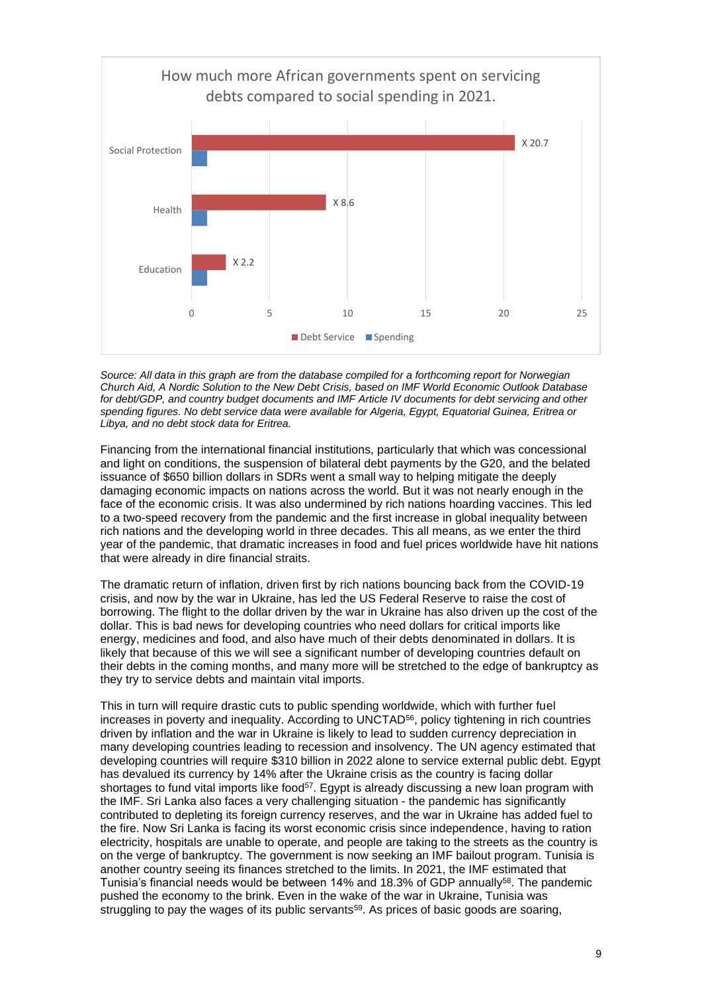

*Source: All data in this graph are from the database compiled for a forthcoming report for Norwegian Church Aid, A Nordic Solution to the New Debt Crisis, based on IMF World Economic Outlook Database*  for debt/GDP, and country budget documents and IMF Article IV documents for debt servicing and other *spending figures. No debt service data were available for Algeria, Egypt, Equatorial Guinea, Eritrea or Libya, and no debt stock data for Eritrea.* 

Financing from the international financial institutions, particularly that which was concessional and light on conditions, the suspension of bilateral debt payments by the G20, and the belated issuance of \$650 billion dollars in SDRs went a small way to helping mitigate the deeply damaging economic impacts on nations across the world. But it was not nearly enough in the face of the economic crisis. It was also undermined by rich nations hoarding vaccines. This led to a two-speed recovery from the pandemic and the first increase in global inequality between rich nations and the developing world in three decades. This all means, as we enter the third year of the pandemic, that dramatic increases in food and fuel prices worldwide have hit nations that were already in dire financial straits.

The dramatic return of inflation, driven first by rich nations bouncing back from the COVID-19 crisis, and now by the war in Ukraine, has led the US Federal Reserve to raise the cost of borrowing. The flight to the dollar driven by the war in Ukraine has also driven up the cost of the dollar. This is bad news for developing countries who need dollars for critical imports like energy, medicines and food, and also have much of their debts denominated in dollars. It is likely that because of this we will see a significant number of developing countries default on their debts in the coming months, and many more will be stretched to the edge of bankruptcy as they try to service debts and maintain vital imports.

This in turn will require drastic cuts to public spending worldwide, which with further fuel increases in poverty and inequality. According to UNCTAD<sup>56</sup>, policy tightening in rich countries driven by inflation and the war in Ukraine is likely to lead to sudden currency depreciation in many developing countries leading to recession and insolvency. The UN agency estimated that developing countries will require \$310 billion in 2022 alone to service external public debt. Egypt has devalued its currency by 14% after the Ukraine crisis as the country is facing dollar shortages to fund vital imports like food<sup>57</sup>. Egypt is already discussing a new loan program with the IMF. Sri Lanka also faces a very challenging situation - the pandemic has significantly contributed to depleting its foreign currency reserves, and the war in Ukraine has added fuel to the fire. Now Sri Lanka is facing its worst economic crisis since independence, having to ration electricity, hospitals are unable to operate, and people are taking to the streets as the country is on the verge of bankruptcy. The government is now seeking an IMF bailout program. Tunisia is another country seeing its finances stretched to the limits. In 2021, the IMF estimated that Tunisia's financial needs would be between 14% and 18.3% of GDP annually<sup>58</sup>. The pandemic pushed the economy to the brink. Even in the wake of the war in Ukraine, Tunisia was struggling to pay the wages of its public servants<sup>59</sup>. As prices of basic goods are soaring,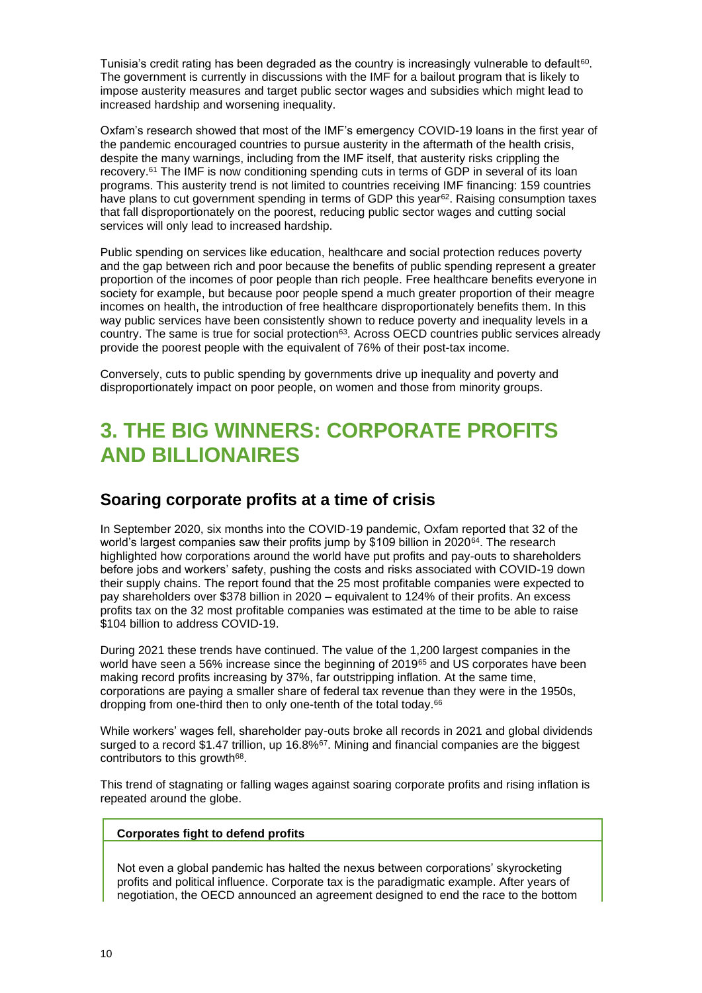Tunisia's credit rating has been degraded as the country is increasingly vulnerable to default $^{60}$ . The government is currently in discussions with the IMF for a bailout program that is likely to impose austerity measures and target public sector wages and subsidies which might lead to increased hardship and worsening inequality.

Oxfam's research showed that most of the IMF's emergency COVID-19 loans in the first year of the pandemic encouraged countries to pursue austerity in the aftermath of the health crisis, despite the many warnings, including from the IMF itself, that austerity risks crippling the recovery.<sup>61</sup> The IMF is now conditioning spending cuts in terms of GDP in several of its loan programs. This austerity trend is not limited to countries receiving IMF financing: 159 countries have plans to cut government spending in terms of GDP this year<sup>62</sup>. Raising consumption taxes that fall disproportionately on the poorest, reducing public sector wages and cutting social services will only lead to increased hardship.

Public spending on services like education, healthcare and social protection reduces poverty and the gap between rich and poor because the benefits of public spending represent a greater proportion of the incomes of poor people than rich people. Free healthcare benefits everyone in society for example, but because poor people spend a much greater proportion of their meagre incomes on health, the introduction of free healthcare disproportionately benefits them. In this way public services have been consistently shown to reduce poverty and inequality levels in a country. The same is true for social protection<sup>63</sup>. Across OECD countries public services already provide the poorest people with the equivalent of 76% of their post-tax income.

Conversely, cuts to public spending by governments drive up inequality and poverty and disproportionately impact on poor people, on women and those from minority groups.

## **3. THE BIG WINNERS: CORPORATE PROFITS AND BILLIONAIRES**

### **Soaring corporate profits at a time of crisis**

In September 2020, six months into the COVID-19 pandemic, Oxfam reported that 32 of the world's largest companies saw their profits jump by \$109 billion in 2020<sup>64</sup>. The research highlighted how corporations around the world have put profits and pay-outs to shareholders before jobs and workers' safety, pushing the costs and risks associated with COVID-19 down their supply chains. The report found that the 25 most profitable companies were expected to pay shareholders over \$378 billion in 2020 – equivalent to 124% of their profits. An excess profits tax on the 32 most profitable companies was estimated at the time to be able to raise \$104 billion to address COVID-19.

During 2021 these trends have continued. The value of the 1,200 largest companies in the world have seen a 56% increase since the beginning of 2019<sup>65</sup> and US corporates have been making record profits increasing by 37%, far outstripping inflation. At the same time, corporations are paying a smaller share of federal tax revenue than they were in the 1950s, dropping from one-third then to only one-tenth of the total today.<sup>66</sup>

While workers' wages fell, shareholder pay-outs broke all records in 2021 and global dividends surged to a record \$1.47 trillion, up 16.8% $67$ . Mining and financial companies are the biggest contributors to this growth<sup>68</sup>.

This trend of stagnating or falling wages against soaring corporate profits and rising inflation is repeated around the globe.

#### **Corporates fight to defend profits**

Not even a global pandemic has halted the nexus between corporations' skyrocketing profits and political influence. Corporate tax is the paradigmatic example. After years of negotiation, the OECD announced an agreement designed to end the race to the bottom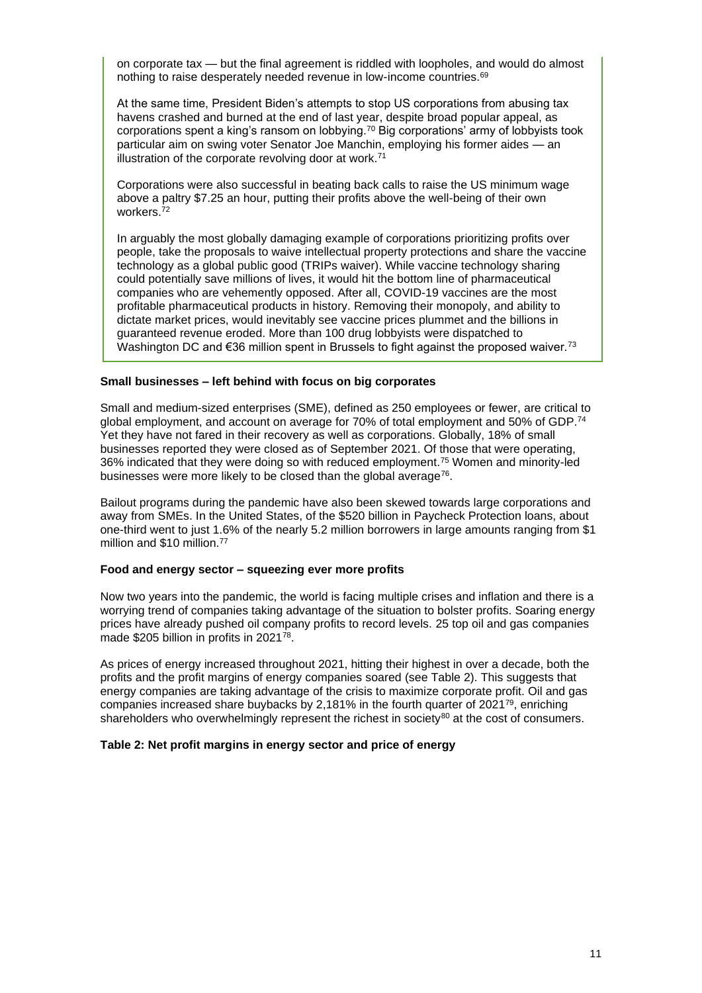on corporate tax — but the final agreement is riddled with loopholes, and would do almost nothing to raise desperately needed revenue in low-income countries.<sup>69</sup>

At the same time, President Biden's attempts to stop US corporations from abusing tax havens crashed and burned at the end of last year, despite broad popular appeal, as corporations spent a king's ransom on lobbying.<sup>70</sup> Big corporations' army of lobbyists took particular aim on swing voter Senator Joe Manchin, employing his former aides — an illustration of the corporate revolving door at work. $71$ 

Corporations were also successful in beating back calls to raise the US minimum wage above a paltry \$7.25 an hour, putting their profits above the well-being of their own workers.<sup>72</sup>

In arguably the most globally damaging example of corporations prioritizing profits over people, take the proposals to waive intellectual property protections and share the vaccine technology as a global public good (TRIPs waiver). While vaccine technology sharing could potentially save millions of lives, it would hit the bottom line of pharmaceutical companies who are vehemently opposed. After all, COVID-19 vaccines are the most profitable pharmaceutical products in history. Removing their monopoly, and ability to dictate market prices, would inevitably see vaccine prices plummet and the billions in guaranteed revenue eroded. More than 100 drug lobbyists were dispatched to Washington DC and €36 million spent in Brussels to fight against the proposed waiver.<sup>73</sup>

#### **Small businesses – left behind with focus on big corporates**

Small and medium-sized enterprises (SME), defined as 250 employees or fewer, are critical to global employment, and account on average for 70% of total employment and 50% of GDP.<sup>74</sup> Yet they have not fared in their recovery as well as corporations. Globally, 18% of small businesses reported they were closed as of September 2021. Of those that were operating, 36% indicated that they were doing so with reduced employment.<sup>75</sup> Women and minority-led businesses were more likely to be closed than the global average<sup>76</sup>.

Bailout programs during the pandemic have also been skewed towards large corporations and away from SMEs. In the United States, of the \$520 billion in Paycheck Protection loans, about one-third went to just 1.6% of the nearly 5.2 million borrowers in large amounts ranging from \$1 million and \$10 million.<sup>77</sup>

#### **Food and energy sector – squeezing ever more profits**

Now two years into the pandemic, the world is facing multiple crises and inflation and there is a worrying trend of companies taking advantage of the situation to bolster profits. Soaring energy prices have already pushed oil company profits to record levels. 25 top oil and gas companies made \$205 billion in profits in 2021<sup>78</sup>.

As prices of energy increased throughout 2021, hitting their highest in over a decade, both the profits and the profit margins of energy companies soared (see Table 2). This suggests that energy companies are taking advantage of the crisis to maximize corporate profit. Oil and gas companies increased share buybacks by 2,181% in the fourth quarter of  $2021^{79}$ , enriching shareholders who overwhelmingly represent the richest in society $80$  at the cost of consumers.

#### **Table 2: Net profit margins in energy sector and price of energy**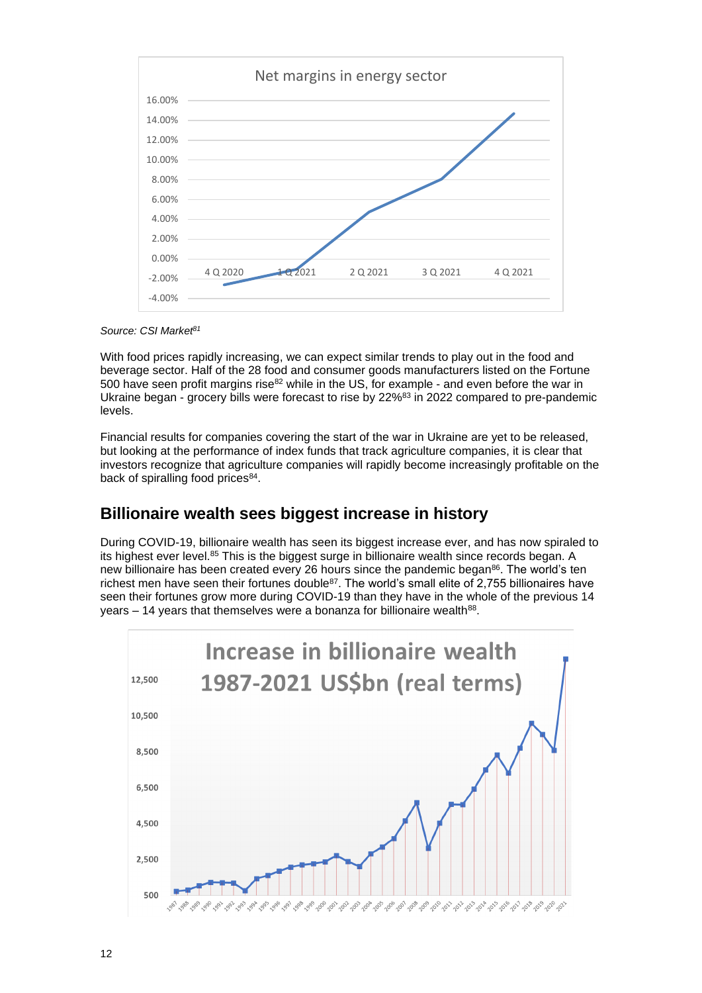

*Source: CSI Market<sup>81</sup>*

With food prices rapidly increasing, we can expect similar trends to play out in the food and beverage sector. Half of the 28 food and consumer goods manufacturers listed on the Fortune 500 have seen profit margins rise $82$  while in the US, for example - and even before the war in Ukraine began - grocery bills were forecast to rise by 22%<sup>83</sup> in 2022 compared to pre-pandemic levels.

Financial results for companies covering the start of the war in Ukraine are yet to be released, but looking at the performance of index funds that track agriculture companies, it is clear that investors recognize that agriculture companies will rapidly become increasingly profitable on the back of spiralling food prices<sup>84</sup>.

## **Billionaire wealth sees biggest increase in history**

During COVID-19, billionaire wealth has seen its biggest increase ever, and has now spiraled to its highest ever level.<sup>85</sup> This is the biggest surge in billionaire wealth since records began. A new billionaire has been created every 26 hours since the pandemic began<sup>86</sup>. The world's ten richest men have seen their fortunes double<sup>87</sup>. The world's small elite of 2,755 billionaires have seen their fortunes grow more during COVID-19 than they have in the whole of the previous 14 years – 14 years that themselves were a bonanza for billionaire wealth<sup>88</sup>.

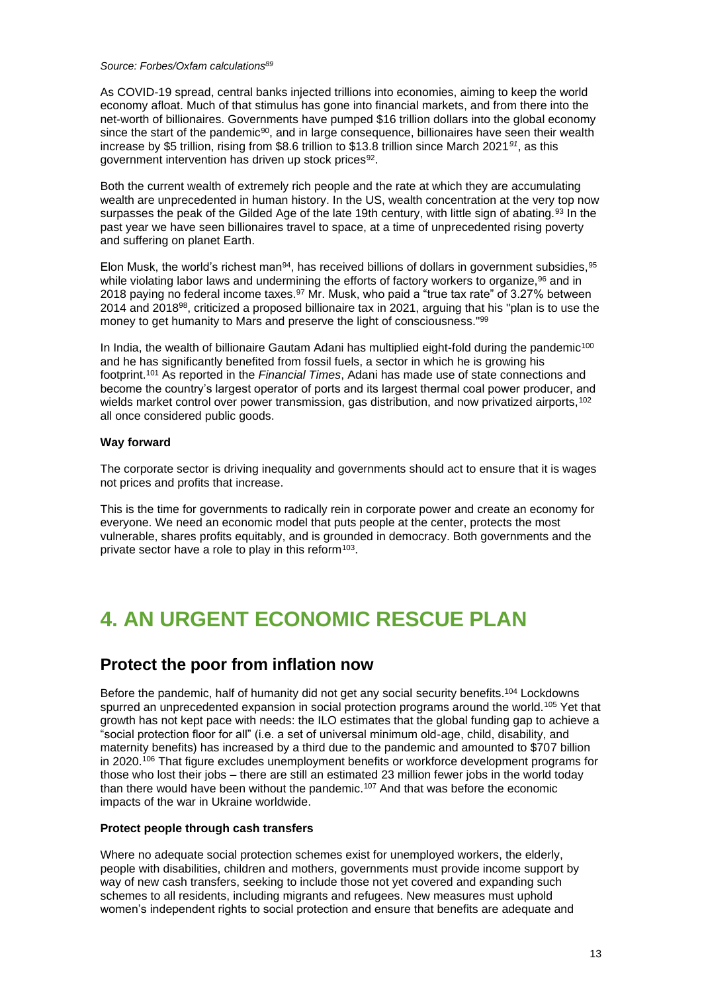#### *Source: Forbes/Oxfam calculations<sup>89</sup>*

As COVID-19 spread, central banks injected trillions into economies, aiming to keep the world economy afloat. Much of that stimulus has gone into financial markets, and from there into the net-worth of billionaires. Governments have pumped \$16 trillion dollars into the global economy since the start of the pandemic<sup>90</sup>, and in large consequence, billionaires have seen their wealth increase by \$5 trillion, rising from \$8.6 trillion to \$13.8 trillion since March 2021*<sup>91</sup>*, as this government intervention has driven up stock prices<sup>92</sup>.

Both the current wealth of extremely rich people and the rate at which they are accumulating wealth are unprecedented in human history. In the US, wealth concentration at the very top now surpasses the peak of the Gilded Age of the late 19th century, with little sign of abating.<sup>93</sup> In the past year we have seen billionaires travel to space, at a time of unprecedented rising poverty and suffering on planet Earth.

Elon Musk, the world's richest man $94$ , has received billions of dollars in government subsidies,  $95$ while violating labor laws and undermining the efforts of factory workers to organize,<sup>96</sup> and in 2018 paying no federal income taxes.<sup>97</sup> Mr. Musk, who paid a "true tax rate" of 3.27% between 2014 and 2018<sup>98</sup>, criticized a proposed billionaire tax in 2021, arguing that his "plan is to use the money to get humanity to Mars and preserve the light of consciousness."<sup>99</sup>

In India, the wealth of billionaire Gautam Adani has multiplied eight-fold during the pandemic<sup>100</sup> and he has significantly benefited from fossil fuels, a sector in which he is growing his footprint.<sup>101</sup> As reported in the *Financial Times*, Adani has made use of state connections and become the country's largest operator of ports and its largest thermal coal power producer, and wields market control over power transmission, gas distribution, and now privatized airports,<sup>102</sup> all once considered public goods.

#### **Way forward**

The corporate sector is driving inequality and governments should act to ensure that it is wages not prices and profits that increase.

This is the time for governments to radically rein in corporate power and create an economy for everyone. We need an economic model that puts people at the center, protects the most vulnerable, shares profits equitably, and is grounded in democracy. Both governments and the private sector have a role to play in this reform<sup>103</sup>.

## **4. AN URGENT ECONOMIC RESCUE PLAN**

### **Protect the poor from inflation now**

Before the pandemic, half of humanity did not get any social security benefits.<sup>104</sup> Lockdowns spurred an unprecedented expansion in social protection programs around the world.<sup>105</sup> Yet that growth has not kept pace with needs: the ILO estimates that the global funding gap to achieve a "social protection floor for all" (i.e. a set of universal minimum old-age, child, disability, and maternity benefits) has increased by a third due to the pandemic and amounted to \$707 billion in 2020.<sup>106</sup> That figure excludes unemployment benefits or workforce development programs for those who lost their jobs – there are still an estimated 23 million fewer jobs in the world today than there would have been without the pandemic.<sup>107</sup> And that was before the economic impacts of the war in Ukraine worldwide.

#### **Protect people through cash transfers**

Where no adequate social protection schemes exist for unemployed workers, the elderly, people with disabilities, children and mothers, governments must provide income support by way of new cash transfers, seeking to include those not yet covered and expanding such schemes to all residents, including migrants and refugees. New measures must uphold women's independent rights to social protection and ensure that benefits are adequate and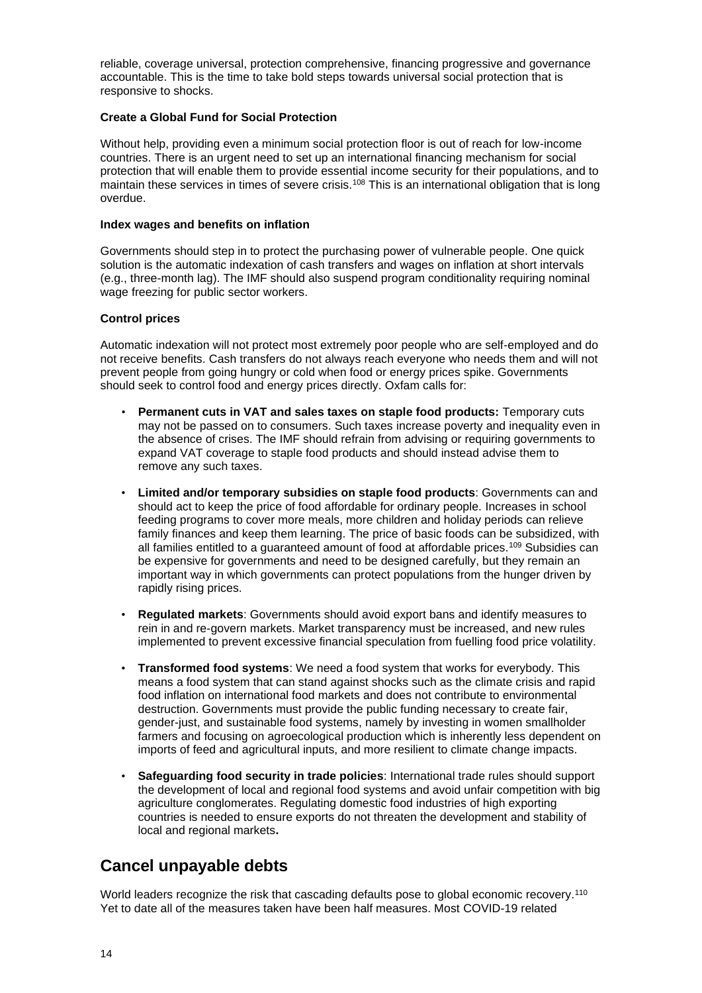reliable, coverage universal, protection comprehensive, financing progressive and governance accountable. This is the time to take bold steps towards universal social protection that is responsive to shocks.

#### **Create a Global Fund for Social Protection**

Without help, providing even a minimum social protection floor is out of reach for low-income countries. There is an urgent need to set up an international financing mechanism for social protection that will enable them to provide essential income security for their populations, and to maintain these services in times of severe crisis.<sup>108</sup> This is an international obligation that is long overdue.

#### **Index wages and benefits on inflation**

Governments should step in to protect the purchasing power of vulnerable people. One quick solution is the automatic indexation of cash transfers and wages on inflation at short intervals (e.g., three-month lag). The IMF should also suspend program conditionality requiring nominal wage freezing for public sector workers.

#### **Control prices**

Automatic indexation will not protect most extremely poor people who are self-employed and do not receive benefits. Cash transfers do not always reach everyone who needs them and will not prevent people from going hungry or cold when food or energy prices spike. Governments should seek to control food and energy prices directly. Oxfam calls for:

- **Permanent cuts in VAT and sales taxes on staple food products:** Temporary cuts may not be passed on to consumers. Such taxes increase poverty and inequality even in the absence of crises. The IMF should refrain from advising or requiring governments to expand VAT coverage to staple food products and should instead advise them to remove any such taxes.
- **Limited and/or temporary subsidies on staple food products**: Governments can and should act to keep the price of food affordable for ordinary people. Increases in school feeding programs to cover more meals, more children and holiday periods can relieve family finances and keep them learning. The price of basic foods can be subsidized, with all families entitled to a guaranteed amount of food at affordable prices.<sup>109</sup> Subsidies can be expensive for governments and need to be designed carefully, but they remain an important way in which governments can protect populations from the hunger driven by rapidly rising prices.
- **Regulated markets**: Governments should avoid export bans and identify measures to rein in and re-govern markets. Market transparency must be increased, and new rules implemented to prevent excessive financial speculation from fuelling food price volatility.
- **Transformed food systems**: We need a food system that works for everybody. This means a food system that can stand against shocks such as the climate crisis and rapid food inflation on international food markets and does not contribute to environmental destruction. Governments must provide the public funding necessary to create fair, gender-just, and sustainable food systems, namely by investing in women smallholder farmers and focusing on agroecological production which is inherently less dependent on imports of feed and agricultural inputs, and more resilient to climate change impacts.
- **Safeguarding food security in trade policies**: International trade rules should support the development of local and regional food systems and avoid unfair competition with big agriculture conglomerates. Regulating domestic food industries of high exporting countries is needed to ensure exports do not threaten the development and stability of local and regional markets**.**

### **Cancel unpayable debts**

World leaders recognize the risk that cascading defaults pose to global economic recovery.<sup>110</sup> Yet to date all of the measures taken have been half measures. Most COVID-19 related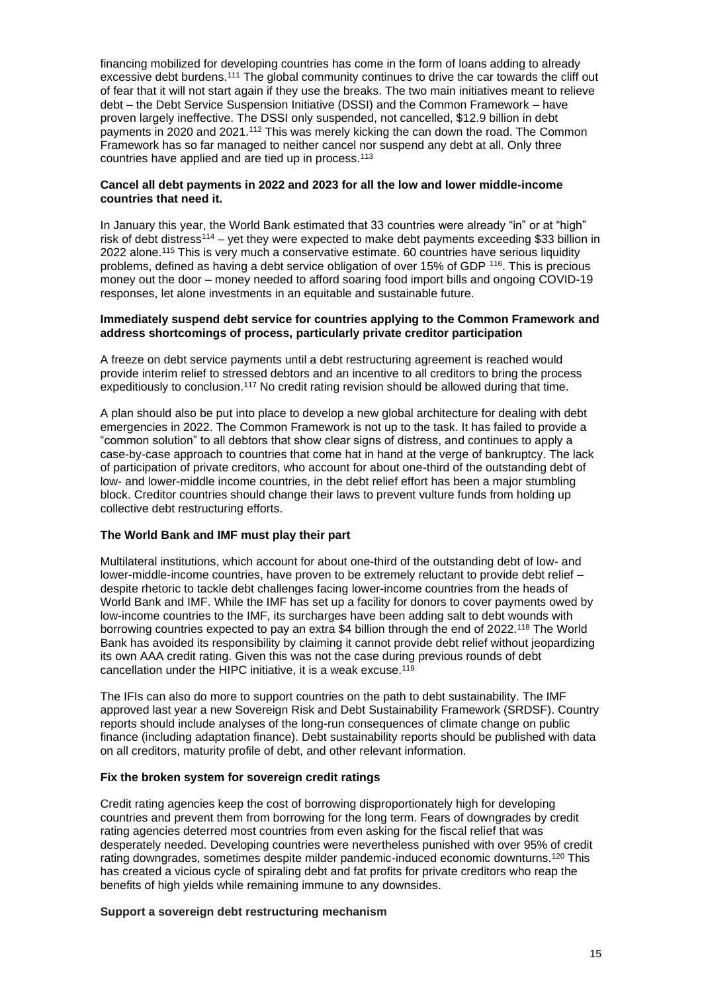financing mobilized for developing countries has come in the form of loans adding to already excessive debt burdens.<sup>111</sup> The global community continues to drive the car towards the cliff out of fear that it will not start again if they use the breaks. The two main initiatives meant to relieve debt – the Debt Service Suspension Initiative (DSSI) and the Common Framework – have proven largely ineffective. The DSSI only suspended, not cancelled, \$12.9 billion in debt payments in 2020 and 2021.<sup>112</sup> This was merely kicking the can down the road. The Common Framework has so far managed to neither cancel nor suspend any debt at all. Only three countries have applied and are tied up in process.<sup>113</sup>

#### **Cancel all debt payments in 2022 and 2023 for all the low and lower middle-income countries that need it.**

In January this year, the World Bank estimated that 33 countries were already "in" or at "high" risk of debt distress<sup>114</sup> – yet they were expected to make debt payments exceeding \$33 billion in 2022 alone.<sup>115</sup> This is very much a conservative estimate. 60 countries have serious liquidity problems, defined as having a debt service obligation of over 15% of GDP <sup>116</sup>. This is precious money out the door – money needed to afford soaring food import bills and ongoing COVID-19 responses, let alone investments in an equitable and sustainable future.

#### **Immediately suspend debt service for countries applying to the Common Framework and address shortcomings of process, particularly private creditor participation**

A freeze on debt service payments until a debt restructuring agreement is reached would provide interim relief to stressed debtors and an incentive to all creditors to bring the process expeditiously to conclusion.<sup>117</sup> No credit rating revision should be allowed during that time.

A plan should also be put into place to develop a new global architecture for dealing with debt emergencies in 2022. The Common Framework is not up to the task. It has failed to provide a "common solution" to all debtors that show clear signs of distress, and continues to apply a case-by-case approach to countries that come hat in hand at the verge of bankruptcy. The lack of participation of private creditors, who account for about one-third of the outstanding debt of low- and lower-middle income countries, in the debt relief effort has been a major stumbling block. Creditor countries should change their laws to prevent vulture funds from holding up collective debt restructuring efforts.

#### **The World Bank and IMF must play their part**

Multilateral institutions, which account for about one-third of the outstanding debt of low- and lower-middle-income countries, have proven to be extremely reluctant to provide debt relief – despite rhetoric to tackle debt challenges facing lower-income countries from the heads of World Bank and IMF. While the IMF has set up a facility for donors to cover payments owed by low-income countries to the IMF, its surcharges have been adding salt to debt wounds with borrowing countries expected to pay an extra \$4 billion through the end of 2022.<sup>118</sup> The World Bank has avoided its responsibility by claiming it cannot provide debt relief without jeopardizing its own AAA credit rating. Given this was not the case during previous rounds of debt cancellation under the HIPC initiative, it is a weak excuse.<sup>119</sup>

The IFIs can also do more to support countries on the path to debt sustainability. The IMF approved last year a new Sovereign Risk and Debt Sustainability Framework (SRDSF). Country reports should include analyses of the long-run consequences of climate change on public finance (including adaptation finance). Debt sustainability reports should be published with data on all creditors, maturity profile of debt, and other relevant information.

#### **Fix the broken system for sovereign credit ratings**

Credit rating agencies keep the cost of borrowing disproportionately high for developing countries and prevent them from borrowing for the long term. Fears of downgrades by credit rating agencies deterred most countries from even asking for the fiscal relief that was desperately needed. Developing countries were nevertheless punished with over 95% of credit rating downgrades, sometimes despite milder pandemic-induced economic downturns.<sup>120</sup> This has created a vicious cycle of spiraling debt and fat profits for private creditors who reap the benefits of high yields while remaining immune to any downsides.

#### **Support a sovereign debt restructuring mechanism**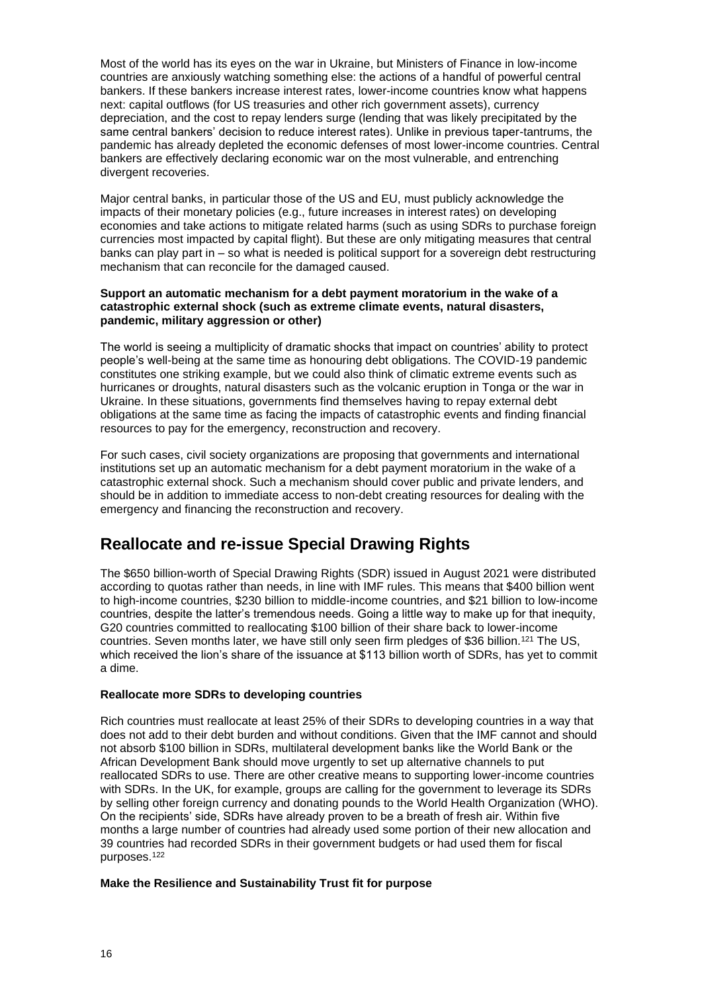Most of the world has its eyes on the war in Ukraine, but Ministers of Finance in low-income countries are anxiously watching something else: the actions of a handful of powerful central bankers. If these bankers increase interest rates, lower-income countries know what happens next: capital outflows (for US treasuries and other rich government assets), currency depreciation, and the cost to repay lenders surge (lending that was likely precipitated by the same central bankers' decision to reduce interest rates). Unlike in previous taper-tantrums, the pandemic has already depleted the economic defenses of most lower-income countries. Central bankers are effectively declaring economic war on the most vulnerable, and entrenching divergent recoveries.

Major central banks, in particular those of the US and EU, must publicly acknowledge the impacts of their monetary policies (e.g., future increases in interest rates) on developing economies and take actions to mitigate related harms (such as using SDRs to purchase foreign currencies most impacted by capital flight). But these are only mitigating measures that central banks can play part in – so what is needed is political support for a sovereign debt restructuring mechanism that can reconcile for the damaged caused.

#### **Support an automatic mechanism for a debt payment moratorium in the wake of a catastrophic external shock (such as extreme climate events, natural disasters, pandemic, military aggression or other)**

The world is seeing a multiplicity of dramatic shocks that impact on countries' ability to protect people's well-being at the same time as honouring debt obligations. The COVID-19 pandemic constitutes one striking example, but we could also think of climatic extreme events such as hurricanes or droughts, natural disasters such as the volcanic eruption in Tonga or the war in Ukraine. In these situations, governments find themselves having to repay external debt obligations at the same time as facing the impacts of catastrophic events and finding financial resources to pay for the emergency, reconstruction and recovery.

For such cases, civil society organizations are proposing that governments and international institutions set up an automatic mechanism for a debt payment moratorium in the wake of a catastrophic external shock. Such a mechanism should cover public and private lenders, and should be in addition to immediate access to non-debt creating resources for dealing with the emergency and financing the reconstruction and recovery.

## **Reallocate and re-issue Special Drawing Rights**

The \$650 billion-worth of Special Drawing Rights (SDR) issued in August 2021 were distributed according to quotas rather than needs, in line with IMF rules. This means that \$400 billion went to high-income countries, \$230 billion to middle-income countries, and \$21 billion to low-income countries, despite the latter's tremendous needs. Going a little way to make up for that inequity, G20 countries committed to reallocating \$100 billion of their share back to lower-income countries. Seven months later, we have still only seen firm pledges of \$36 billion.<sup>121</sup> The US, which received the lion's share of the issuance at \$113 billion worth of SDRs, has yet to commit a dime.

#### **Reallocate more SDRs to developing countries**

Rich countries must reallocate at least 25% of their SDRs to developing countries in a way that does not add to their debt burden and without conditions. Given that the IMF cannot and should not absorb \$100 billion in SDRs, multilateral development banks like the World Bank or the African Development Bank should move urgently to set up alternative channels to put reallocated SDRs to use. There are other creative means to supporting lower-income countries with SDRs. In the UK, for example, groups are calling for the government to leverage its SDRs by selling other foreign currency and donating pounds to the World Health Organization (WHO). On the recipients' side, SDRs have already proven to be a breath of fresh air. Within five months a large number of countries had already used some portion of their new allocation and 39 countries had recorded SDRs in their government budgets or had used them for fiscal purposes.<sup>122</sup>

#### **Make the Resilience and Sustainability Trust fit for purpose**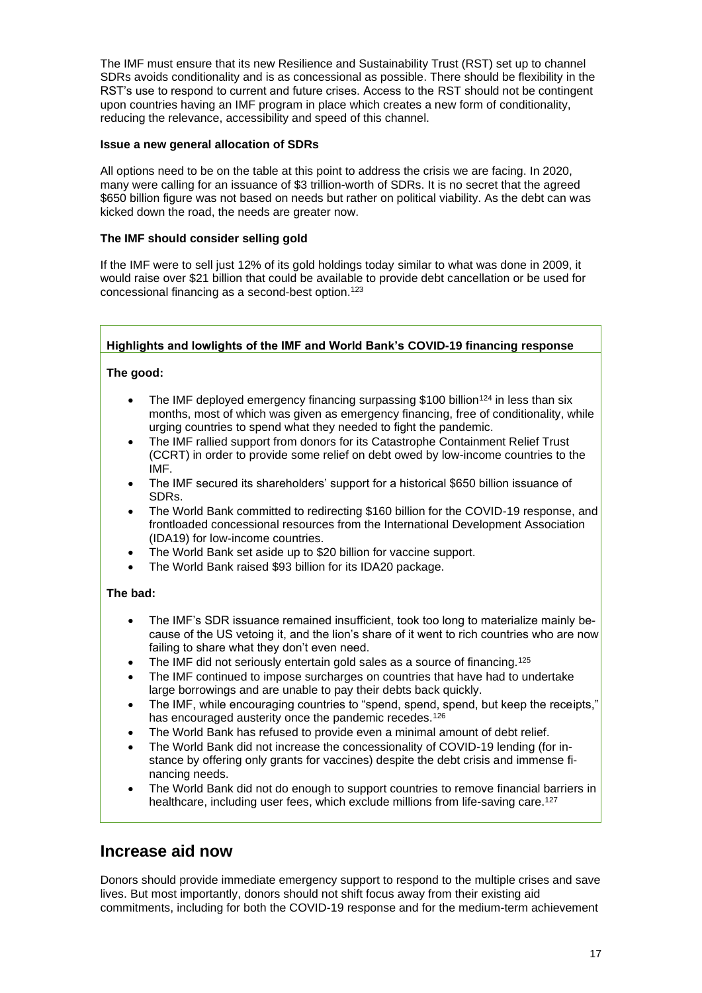The IMF must ensure that its new Resilience and Sustainability Trust (RST) set up to channel SDRs avoids conditionality and is as concessional as possible. There should be flexibility in the RST's use to respond to current and future crises. Access to the RST should not be contingent upon countries having an IMF program in place which creates a new form of conditionality, reducing the relevance, accessibility and speed of this channel.

#### **Issue a new general allocation of SDRs**

All options need to be on the table at this point to address the crisis we are facing. In 2020, many were calling for an issuance of \$3 trillion-worth of SDRs. It is no secret that the agreed \$650 billion figure was not based on needs but rather on political viability. As the debt can was kicked down the road, the needs are greater now.

#### **The IMF should consider selling gold**

If the IMF were to sell just 12% of its gold holdings today similar to what was done in 2009, it would raise over \$21 billion that could be available to provide debt cancellation or be used for concessional financing as a second-best option. 123

#### **Highlights and lowlights of the IMF and World Bank's COVID-19 financing response**

#### **The good:**

- The IMF deployed emergency financing surpassing \$100 billion<sup>124</sup> in less than six months, most of which was given as emergency financing, free of conditionality, while urging countries to spend what they needed to fight the pandemic.
- The IMF rallied support from donors for its Catastrophe Containment Relief Trust (CCRT) in order to provide some relief on debt owed by low-income countries to the IMF.
- The IMF secured its shareholders' support for a historical \$650 billion issuance of SDRs.
- The World Bank committed to redirecting \$160 billion for the COVID-19 response, and frontloaded concessional resources from the International Development Association (IDA19) for low-income countries.
- The World Bank set aside up to \$20 billion for vaccine support.
- The World Bank raised \$93 billion for its IDA20 package.

#### **The bad:**

- The IMF's SDR issuance remained insufficient, took too long to materialize mainly because of the US vetoing it, and the lion's share of it went to rich countries who are now failing to share what they don't even need.
- The IMF did not seriously entertain gold sales as a source of financing.<sup>125</sup>
- The IMF continued to impose surcharges on countries that have had to undertake large borrowings and are unable to pay their debts back quickly.
- The IMF, while encouraging countries to "spend, spend, spend, but keep the receipts," has encouraged austerity once the pandemic recedes.<sup>126</sup>
- The World Bank has refused to provide even a minimal amount of debt relief.
- The World Bank did not increase the concessionality of COVID-19 lending (for instance by offering only grants for vaccines) despite the debt crisis and immense financing needs.
- The World Bank did not do enough to support countries to remove financial barriers in healthcare, including user fees, which exclude millions from life-saving care.<sup>127</sup>

### **Increase aid now**

Donors should provide immediate emergency support to respond to the multiple crises and save lives. But most importantly, donors should not shift focus away from their existing aid commitments, including for both the COVID-19 response and for the medium-term achievement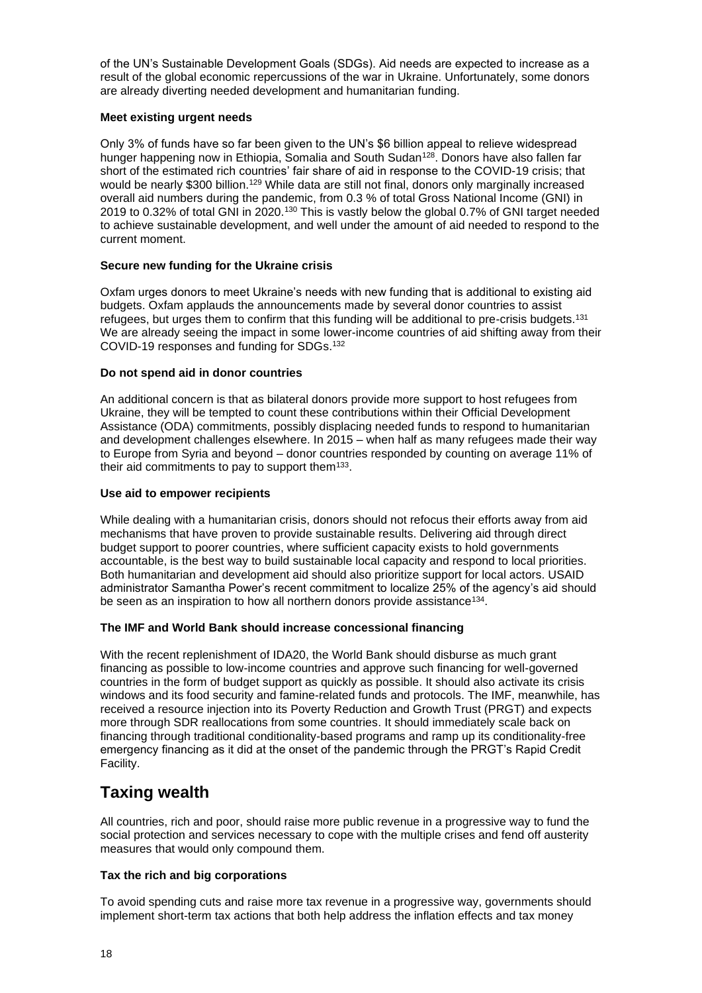of the UN's Sustainable Development Goals (SDGs). Aid needs are expected to increase as a result of the global economic repercussions of the war in Ukraine. Unfortunately, some donors are already diverting needed development and humanitarian funding.

#### **Meet existing urgent needs**

Only 3% of funds have so far been given to the UN's \$6 billion appeal to relieve widespread hunger happening now in Ethiopia, Somalia and South Sudan<sup>128</sup>. Donors have also fallen far short of the estimated rich countries' fair share of aid in response to the COVID-19 crisis; that would be nearly \$300 billion.<sup>129</sup> While data are still not final, donors only marginally increased overall aid numbers during the pandemic, from 0.3 % of total Gross National Income (GNI) in 2019 to 0.32% of total GNI in 2020.<sup>130</sup> This is vastly below the global 0.7% of GNI target needed to achieve sustainable development, and well under the amount of aid needed to respond to the current moment.

#### **Secure new funding for the Ukraine crisis**

Oxfam urges donors to meet Ukraine's needs with new funding that is additional to existing aid budgets. Oxfam applauds the announcements made by several donor countries to assist refugees, but urges them to confirm that this funding will be additional to pre-crisis budgets.<sup>131</sup> We are already seeing the impact in some lower-income countries of aid shifting away from their COVID-19 responses and funding for SDGs.<sup>132</sup>

#### **Do not spend aid in donor countries**

An additional concern is that as bilateral donors provide more support to host refugees from Ukraine, they will be tempted to count these contributions within their Official Development Assistance (ODA) commitments, possibly displacing needed funds to respond to humanitarian and development challenges elsewhere. In 2015 – when half as many refugees made their way to Europe from Syria and beyond – donor countries responded by counting on average 11% of their aid commitments to pay to support them $133$ .

#### **Use aid to empower recipients**

While dealing with a humanitarian crisis, donors should not refocus their efforts away from aid mechanisms that have proven to provide sustainable results. Delivering aid through direct budget support to poorer countries, where sufficient capacity exists to hold governments accountable, is the best way to build sustainable local capacity and respond to local priorities. Both humanitarian and development aid should also prioritize support for local actors. USAID administrator Samantha Power's recent commitment to localize 25% of the agency's aid should be seen as an inspiration to how all northern donors provide assistance<sup>134</sup>.

#### **The IMF and World Bank should increase concessional financing**

With the recent replenishment of IDA20, the World Bank should disburse as much grant financing as possible to low-income countries and approve such financing for well-governed countries in the form of budget support as quickly as possible. It should also activate its crisis windows and its food security and famine-related funds and protocols. The IMF, meanwhile, has received a resource injection into its Poverty Reduction and Growth Trust (PRGT) and expects more through SDR reallocations from some countries. It should immediately scale back on financing through traditional conditionality-based programs and ramp up its conditionality-free emergency financing as it did at the onset of the pandemic through the PRGT's Rapid Credit Facility.

### **Taxing wealth**

All countries, rich and poor, should raise more public revenue in a progressive way to fund the social protection and services necessary to cope with the multiple crises and fend off austerity measures that would only compound them.

#### **Tax the rich and big corporations**

To avoid spending cuts and raise more tax revenue in a progressive way, governments should implement short-term tax actions that both help address the inflation effects and tax money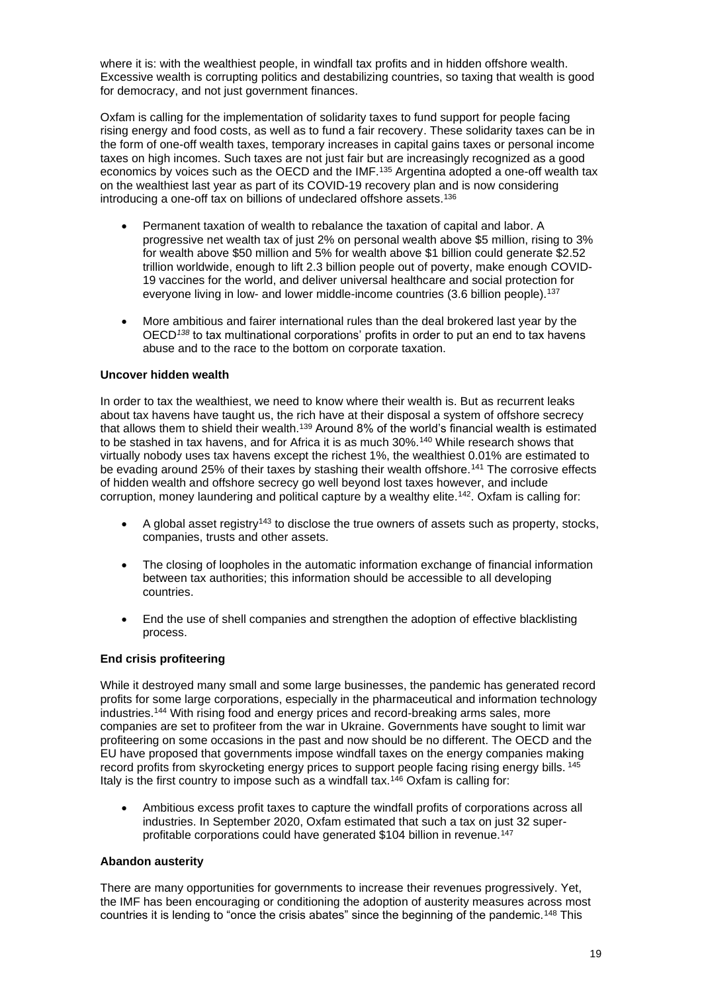where it is: with the wealthiest people, in windfall tax profits and in hidden offshore wealth. Excessive wealth is corrupting politics and destabilizing countries, so taxing that wealth is good for democracy, and not just government finances.

Oxfam is calling for the implementation of solidarity taxes to fund support for people facing rising energy and food costs, as well as to fund a fair recovery. These solidarity taxes can be in the form of one-off wealth taxes, temporary increases in capital gains taxes or personal income taxes on high incomes. Such taxes are not just fair but are increasingly recognized as a good economics by voices such as the OECD and the IMF.<sup>135</sup> Argentina adopted a one-off wealth tax on the wealthiest last year as part of its COVID-19 recovery plan and is now considering introducing a one-off tax on billions of undeclared offshore assets.<sup>136</sup>

- Permanent taxation of wealth to rebalance the taxation of capital and labor. A progressive net wealth tax of just 2% on personal wealth above \$5 million, rising to 3% for wealth above \$50 million and 5% for wealth above \$1 billion could generate \$2.52 trillion worldwide, enough to lift 2.3 billion people out of poverty, make enough COVID-19 vaccines for the world, and deliver universal healthcare and social protection for everyone living in low- and lower middle-income countries (3.6 billion people).<sup>137</sup>
- More ambitious and fairer international rules than the deal brokered last year by the OECD*<sup>138</sup>* to tax multinational corporations' profits in order to put an end to tax havens abuse and to the race to the bottom on corporate taxation.

#### **Uncover hidden wealth**

In order to tax the wealthiest, we need to know where their wealth is. But as recurrent leaks about tax havens have taught us, the rich have at their disposal a system of offshore secrecy that allows them to shield their wealth.<sup>139</sup> Around 8% of the world's financial wealth is estimated to be stashed in tax havens, and for Africa it is as much 30%.<sup>140</sup> While research shows that virtually nobody uses tax havens except the richest 1%, the wealthiest 0.01% are estimated to be evading around 25% of their taxes by stashing their wealth offshore.<sup>141</sup> The corrosive effects of hidden wealth and offshore secrecy go well beyond lost taxes however, and include corruption, money laundering and political capture by a wealthy elite.<sup>142</sup>. Oxfam is calling for:

- A global asset registry<sup>143</sup> to disclose the true owners of assets such as property, stocks, companies, trusts and other assets.
- The closing of loopholes in the automatic information exchange of financial information between tax authorities; this information should be accessible to all developing countries.
- End the use of shell companies and strengthen the adoption of effective blacklisting process.

#### **End crisis profiteering**

While it destroyed many small and some large businesses, the pandemic has generated record profits for some large corporations, especially in the pharmaceutical and information technology industries.<sup>144</sup> With rising food and energy prices and record-breaking arms sales, more companies are set to profiteer from the war in Ukraine. Governments have sought to limit war profiteering on some occasions in the past and now should be no different. The OECD and the EU have proposed that governments impose windfall taxes on the energy companies making record profits from skyrocketing energy prices to support people facing rising energy bills. <sup>145</sup> Italy is the first country to impose such as a windfall tax.<sup>146</sup> Oxfam is calling for:

• Ambitious excess profit taxes to capture the windfall profits of corporations across all industries. In September 2020, Oxfam estimated that such a tax on just 32 superprofitable corporations could have generated \$104 billion in revenue.<sup>147</sup>

#### **Abandon austerity**

There are many opportunities for governments to increase their revenues progressively. Yet, the IMF has been encouraging or conditioning the adoption of austerity measures across most countries it is lending to "once the crisis abates" since the beginning of the pandemic.<sup>148</sup> This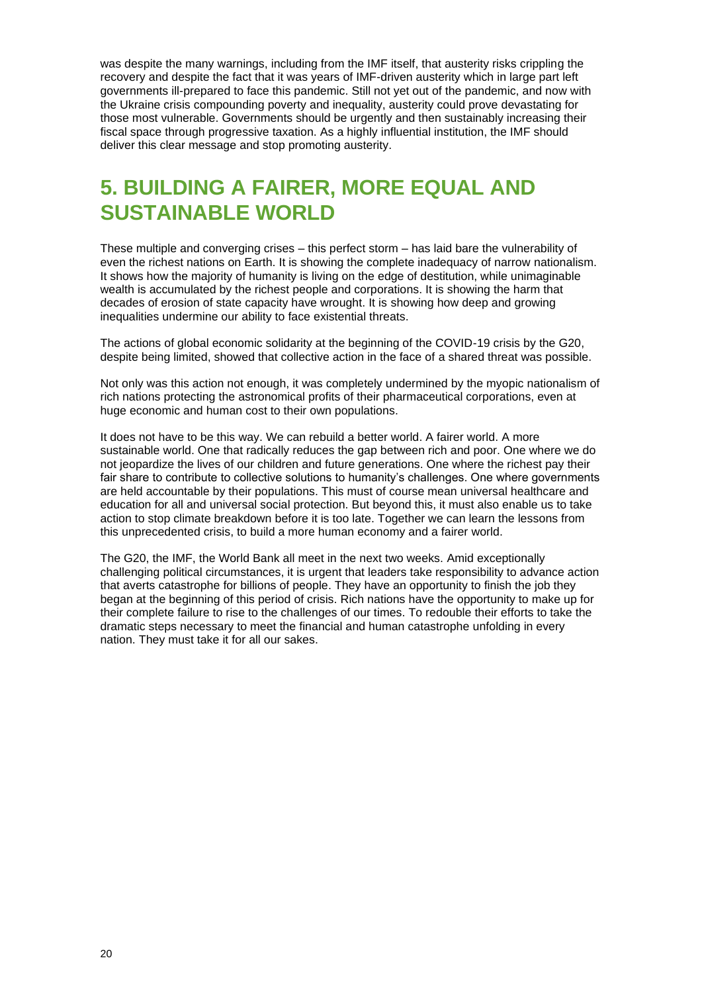was despite the many warnings, including from the IMF itself, that austerity risks crippling the recovery and despite the fact that it was years of IMF-driven austerity which in large part left governments ill-prepared to face this pandemic. Still not yet out of the pandemic, and now with the Ukraine crisis compounding poverty and inequality, austerity could prove devastating for those most vulnerable. Governments should be urgently and then sustainably increasing their fiscal space through progressive taxation. As a highly influential institution, the IMF should deliver this clear message and stop promoting austerity.

## **5. BUILDING A FAIRER, MORE EQUAL AND SUSTAINABLE WORLD**

These multiple and converging crises – this perfect storm – has laid bare the vulnerability of even the richest nations on Earth. It is showing the complete inadequacy of narrow nationalism. It shows how the majority of humanity is living on the edge of destitution, while unimaginable wealth is accumulated by the richest people and corporations. It is showing the harm that decades of erosion of state capacity have wrought. It is showing how deep and growing inequalities undermine our ability to face existential threats.

The actions of global economic solidarity at the beginning of the COVID-19 crisis by the G20, despite being limited, showed that collective action in the face of a shared threat was possible.

Not only was this action not enough, it was completely undermined by the myopic nationalism of rich nations protecting the astronomical profits of their pharmaceutical corporations, even at huge economic and human cost to their own populations.

It does not have to be this way. We can rebuild a better world. A fairer world. A more sustainable world. One that radically reduces the gap between rich and poor. One where we do not jeopardize the lives of our children and future generations. One where the richest pay their fair share to contribute to collective solutions to humanity's challenges. One where governments are held accountable by their populations. This must of course mean universal healthcare and education for all and universal social protection. But beyond this, it must also enable us to take action to stop climate breakdown before it is too late. Together we can learn the lessons from this unprecedented crisis, to build a more human economy and a fairer world.

The G20, the IMF, the World Bank all meet in the next two weeks. Amid exceptionally challenging political circumstances, it is urgent that leaders take responsibility to advance action that averts catastrophe for billions of people. They have an opportunity to finish the job they began at the beginning of this period of crisis. Rich nations have the opportunity to make up for their complete failure to rise to the challenges of our times. To redouble their efforts to take the dramatic steps necessary to meet the financial and human catastrophe unfolding in every nation. They must take it for all our sakes.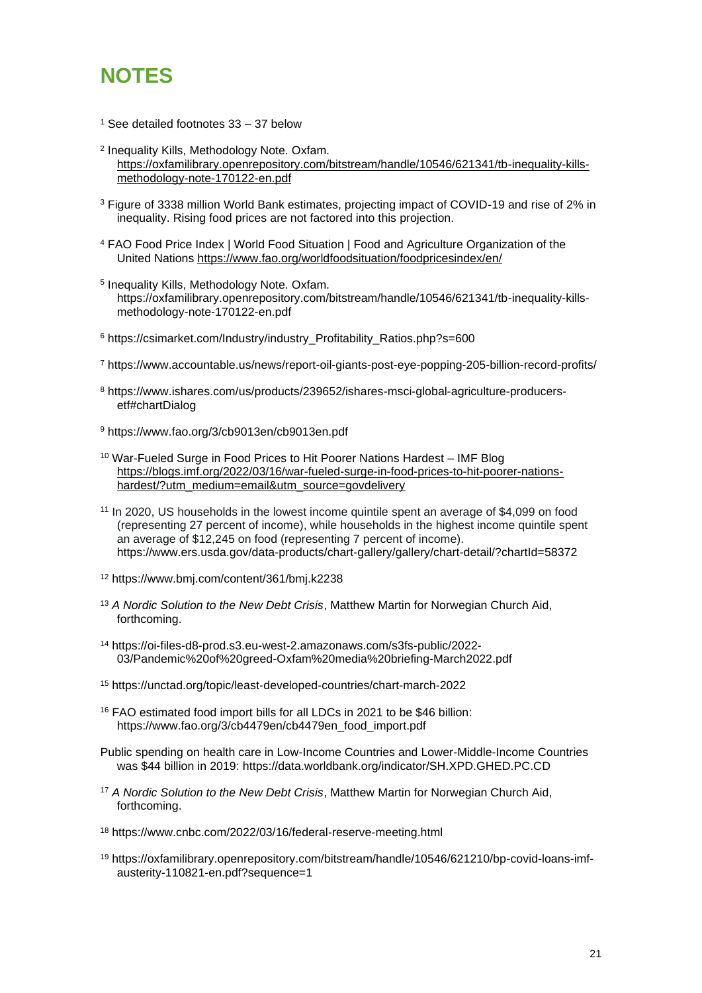

- <sup>1</sup> See detailed footnotes 33 37 below
- 2 Inequality Kills, Methodology Note. Oxfam. [https://oxfamilibrary.openrepository.com/bitstream/handle/10546/621341/tb-inequality-kills](https://oxfamilibrary.openrepository.com/bitstream/handle/10546/621341/tb-inequality-kills-methodology-note-170122-en.pdf)[methodology-note-170122-en.pdf](https://oxfamilibrary.openrepository.com/bitstream/handle/10546/621341/tb-inequality-kills-methodology-note-170122-en.pdf)
- <sup>3</sup> Figure of 3338 million World Bank estimates, projecting impact of COVID-19 and rise of 2% in inequality. Rising food prices are not factored into this projection.
- <sup>4</sup> FAO Food Price Index | World Food Situation | [Food and Agriculture Organization of the](https://www.fao.org/worldfoodsituation/foodpricesindex/en/)  [United Nations](https://www.fao.org/worldfoodsituation/foodpricesindex/en/) <https://www.fao.org/worldfoodsituation/foodpricesindex/en/>
- 5 Inequality Kills, Methodology Note. Oxfam. https://oxfamilibrary.openrepository.com/bitstream/handle/10546/621341/tb-inequality-killsmethodology-note-170122-en.pdf
- <sup>6</sup> https://csimarket.com/Industry/industry\_Profitability\_Ratios.php?s=600
- <sup>7</sup> https://www.accountable.us/news/report-oil-giants-post-eye-popping-205-billion-record-profits/
- <sup>8</sup> [https://www.ishares.com/us/products/239652/ishares-msci-global-agriculture-producers](https://www.ishares.com/us/products/239652/ishares-msci-global-agriculture-producers-etf#chartDialog)[etf#chartDialog](https://www.ishares.com/us/products/239652/ishares-msci-global-agriculture-producers-etf#chartDialog)
- <sup>9</sup> https://www.fao.org/3/cb9013en/cb9013en.pdf
- <sup>10</sup> War-Fueled Surge in Food Prices to Hit Poorer Nations Hardest IMF Blog [https://blogs.imf.org/2022/03/16/war-fueled-surge-in-food-prices-to-hit-poorer-nations](https://blogs.imf.org/2022/03/16/war-fueled-surge-in-food-prices-to-hit-poorer-nations-hardest/?utm_medium=email&utm_source=govdelivery)[hardest/?utm\\_medium=email&utm\\_source=govdelivery](https://blogs.imf.org/2022/03/16/war-fueled-surge-in-food-prices-to-hit-poorer-nations-hardest/?utm_medium=email&utm_source=govdelivery)
- <sup>11</sup> In 2020, US households in the lowest income quintile spent an average of \$4,099 on food (representing 27 percent of income), while households in the highest income quintile spent an average of \$12,245 on food (representing 7 percent of income). <https://www.ers.usda.gov/data-products/chart-gallery/gallery/chart-detail/?chartId=58372>
- <sup>12</sup> https://www.bmj.com/content/361/bmj.k2238
- <sup>13</sup> *A Nordic Solution to the New Debt Crisis*, Matthew Martin for Norwegian Church Aid, forthcoming.
- <sup>14</sup> [https://oi-files-d8-prod.s3.eu-west-2.amazonaws.com/s3fs-public/2022-](https://oi-files-d8-prod.s3.eu-west-2.amazonaws.com/s3fs-public/2022-03/Pandemic%20of%20greed-Oxfam%20media%20briefing-March2022.pdf) [03/Pandemic%20of%20greed-Oxfam%20media%20briefing-March2022.pdf](https://oi-files-d8-prod.s3.eu-west-2.amazonaws.com/s3fs-public/2022-03/Pandemic%20of%20greed-Oxfam%20media%20briefing-March2022.pdf)
- <sup>15</sup> <https://unctad.org/topic/least-developed-countries/chart-march-2022>
- <sup>16</sup> FAO estimated food import bills for all LDCs in 2021 to be \$46 billion: [https://www.fao.org/3/cb4479en/cb4479en\\_food\\_import.pdf](https://www.fao.org/3/cb4479en/cb4479en_food_import.pdf)
- Public spending on health care in Low-Income Countries and Lower-Middle-Income Countries was \$44 billion in 2019:<https://data.worldbank.org/indicator/SH.XPD.GHED.PC.CD>
- <sup>17</sup> *A Nordic Solution to the New Debt Crisis*, Matthew Martin for Norwegian Church Aid, forthcoming.
- <sup>18</sup> https://www.cnbc.com/2022/03/16/federal-reserve-meeting.html
- <sup>19</sup> [https://oxfamilibrary.openrepository.com/bitstream/handle/10546/621210/bp-covid-loans-imf](https://oxfamilibrary.openrepository.com/bitstream/handle/10546/621210/bp-covid-loans-imf-austerity-110821-en.pdf?sequence=1)[austerity-110821-en.pdf?sequence=1](https://oxfamilibrary.openrepository.com/bitstream/handle/10546/621210/bp-covid-loans-imf-austerity-110821-en.pdf?sequence=1)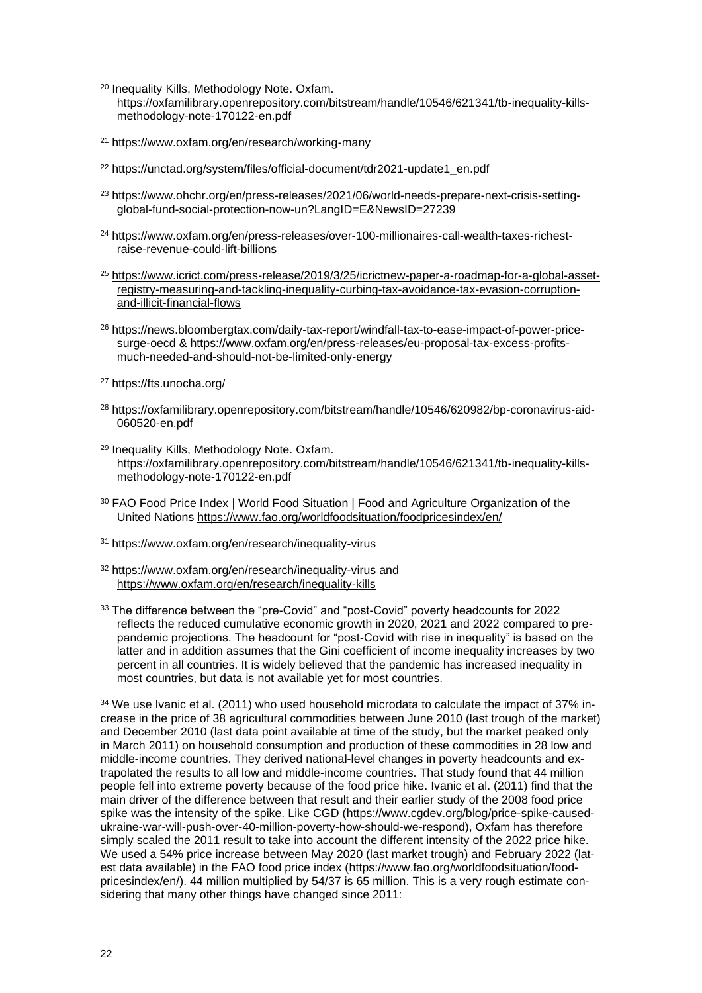- <sup>20</sup> Inequality Kills, Methodology Note. Oxfam. https://oxfamilibrary.openrepository.com/bitstream/handle/10546/621341/tb-inequality-killsmethodology-note-170122-en.pdf
- <sup>21</sup> https://www.oxfam.org/en/research/working-many
- <sup>22</sup> https://unctad.org/system/files/official-document/tdr2021-update1\_en.pdf
- <sup>23</sup> https://www.ohchr.org/en/press-releases/2021/06/world-needs-prepare-next-crisis-settingglobal-fund-social-protection-now-un?LangID=E&NewsID=27239
- <sup>24</sup> [https://www.oxfam.org/en/press-releases/over-100-millionaires-call-wealth-taxes-richest](https://www.oxfam.org/en/press-releases/over-100-millionaires-call-wealth-taxes-richest-raise-revenue-could-lift-billions)[raise-revenue-could-lift-billions](https://www.oxfam.org/en/press-releases/over-100-millionaires-call-wealth-taxes-richest-raise-revenue-could-lift-billions)
- <sup>25</sup> [https://www.icrict.com/press-release/2019/3/25/icrictnew-paper-a-roadmap-for-a-global-asset](https://www.icrict.com/press-release/2019/3/25/icrictnew-paper-a-roadmap-for-a-global-asset-registry-measuring-and-tackling-inequality-curbing-tax-avoidance-tax-evasion-corruption-and-illicit-financial-flows)[registry-measuring-and-tackling-inequality-curbing-tax-avoidance-tax-evasion-corruption](https://www.icrict.com/press-release/2019/3/25/icrictnew-paper-a-roadmap-for-a-global-asset-registry-measuring-and-tackling-inequality-curbing-tax-avoidance-tax-evasion-corruption-and-illicit-financial-flows)[and-illicit-financial-flows](https://www.icrict.com/press-release/2019/3/25/icrictnew-paper-a-roadmap-for-a-global-asset-registry-measuring-and-tackling-inequality-curbing-tax-avoidance-tax-evasion-corruption-and-illicit-financial-flows)
- <sup>26</sup> [https://news.bloombergtax.com/daily-tax-report/windfall-tax-to-ease-impact-of-power-price](https://news.bloombergtax.com/daily-tax-report/windfall-tax-to-ease-impact-of-power-price-surge-oecd)[surge-oecd](https://news.bloombergtax.com/daily-tax-report/windfall-tax-to-ease-impact-of-power-price-surge-oecd) & [https://www.oxfam.org/en/press-releases/eu-proposal-tax-excess-profits](https://www.oxfam.org/en/press-releases/eu-proposal-tax-excess-profits-much-needed-and-should-not-be-limited-only-energy)[much-needed-and-should-not-be-limited-only-energy](https://www.oxfam.org/en/press-releases/eu-proposal-tax-excess-profits-much-needed-and-should-not-be-limited-only-energy)
- <sup>27</sup> <https://fts.unocha.org/>
- <sup>28</sup> [https://oxfamilibrary.openrepository.com/bitstream/handle/10546/620982/bp-coronavirus-aid-](https://oxfamilibrary.openrepository.com/bitstream/handle/10546/620982/bp-coronavirus-aid-060520-en.pdf)[060520-en.pdf](https://oxfamilibrary.openrepository.com/bitstream/handle/10546/620982/bp-coronavirus-aid-060520-en.pdf)
- <sup>29</sup> Inequality Kills, Methodology Note. Oxfam. https://oxfamilibrary.openrepository.com/bitstream/handle/10546/621341/tb-inequality-killsmethodology-note-170122-en.pdf
- <sup>30</sup> FAO Food Price Index | World Food Situation | [Food and Agriculture Organization of the](https://www.fao.org/worldfoodsituation/foodpricesindex/en/)  [United Nations](https://www.fao.org/worldfoodsituation/foodpricesindex/en/) <https://www.fao.org/worldfoodsituation/foodpricesindex/en/>
- <sup>31</sup> https://www.oxfam.org/en/research/inequality-virus
- <sup>32</sup> <https://www.oxfam.org/en/research/inequality-virus> and <https://www.oxfam.org/en/research/inequality-kills>
- <sup>33</sup> The difference between the "pre-Covid" and "post-Covid" poverty headcounts for 2022 reflects the reduced cumulative economic growth in 2020, 2021 and 2022 compared to prepandemic projections. The headcount for "post-Covid with rise in inequality" is based on the latter and in addition assumes that the Gini coefficient of income inequality increases by two percent in all countries. It is widely believed that the pandemic has increased inequality in most countries, but data is not available yet for most countries.

 $34$  We use Ivanic et al. (2011) who used household microdata to calculate the impact of 37% increase in the price of 38 agricultural commodities between June 2010 (last trough of the market) and December 2010 (last data point available at time of the study, but the market peaked only in March 2011) on household consumption and production of these commodities in 28 low and middle-income countries. They derived national-level changes in poverty headcounts and extrapolated the results to all low and middle-income countries. That study found that 44 million people fell into extreme poverty because of the food price hike. Ivanic et al. (2011) find that the main driver of the difference between that result and their earlier study of the 2008 food price spike was the intensity of the spike. Like CGD [\(https://www.cgdev.org/blog/price-spike-caused](https://www.cgdev.org/blog/price-spike-caused-ukraine-war-will-push-over-40-million-poverty-how-should-we-respond)[ukraine-war-will-push-over-40-million-poverty-how-should-we-respond\)](https://www.cgdev.org/blog/price-spike-caused-ukraine-war-will-push-over-40-million-poverty-how-should-we-respond), Oxfam has therefore simply scaled the 2011 result to take into account the different intensity of the 2022 price hike. We used a 54% price increase between May 2020 (last market trough) and February 2022 (latest data available) in the FAO food price index [\(https://www.fao.org/worldfoodsituation/food](https://www.fao.org/worldfoodsituation/foodpricesindex/en/)[pricesindex/en/\)](https://www.fao.org/worldfoodsituation/foodpricesindex/en/). 44 million multiplied by 54/37 is 65 million. This is a very rough estimate considering that many other things have changed since 2011: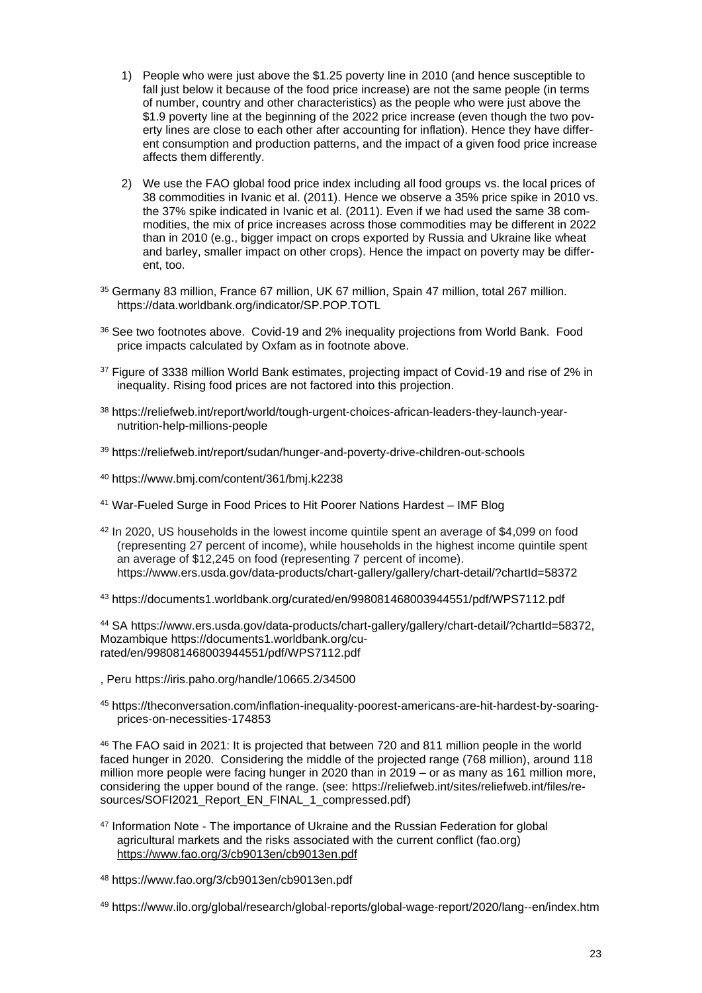- 1) People who were just above the \$1.25 poverty line in 2010 (and hence susceptible to fall just below it because of the food price increase) are not the same people (in terms of number, country and other characteristics) as the people who were just above the \$1.9 poverty line at the beginning of the 2022 price increase (even though the two poverty lines are close to each other after accounting for inflation). Hence they have different consumption and production patterns, and the impact of a given food price increase affects them differently.
- 2) We use the FAO global food price index including all food groups vs. the local prices of 38 commodities in Ivanic et al. (2011). Hence we observe a 35% price spike in 2010 vs. the 37% spike indicated in Ivanic et al. (2011). Even if we had used the same 38 commodities, the mix of price increases across those commodities may be different in 2022 than in 2010 (e.g., bigger impact on crops exported by Russia and Ukraine like wheat and barley, smaller impact on other crops). Hence the impact on poverty may be different, too.
- <sup>35</sup> Germany 83 million, France 67 million, UK 67 million, Spain 47 million, total 267 million. <https://data.worldbank.org/indicator/SP.POP.TOTL>
- <sup>36</sup> See two footnotes above. Covid-19 and 2% inequality projections from World Bank. Food price impacts calculated by Oxfam as in footnote above.
- <sup>37</sup> Figure of 3338 million World Bank estimates, projecting impact of Covid-19 and rise of 2% in inequality. Rising food prices are not factored into this projection.
- <sup>38</sup> https://reliefweb.int/report/world/tough-urgent-choices-african-leaders-they-launch-yearnutrition-help-millions-people
- <sup>39</sup> https://reliefweb.int/report/sudan/hunger-and-poverty-drive-children-out-schools
- <sup>40</sup> https://www.bmj.com/content/361/bmj.k2238
- <sup>41</sup> [War-Fueled Surge in Food Prices to Hit Poorer Nations Hardest –](https://blogs.imf.org/2022/03/16/war-fueled-surge-in-food-prices-to-hit-poorer-nations-hardest/?utm_medium=email&utm_source=govdelivery) IMF Blog
- <sup>42</sup> In 2020, US households in the lowest income quintile spent an average of \$4,099 on food (representing 27 percent of income), while households in the highest income quintile spent an average of \$12,245 on food (representing 7 percent of income). <https://www.ers.usda.gov/data-products/chart-gallery/gallery/chart-detail/?chartId=58372>
- <sup>43</sup> <https://documents1.worldbank.org/curated/en/998081468003944551/pdf/WPS7112.pdf>

<sup>44</sup> SA [https://www.ers.usda.gov/data-products/chart-gallery/gallery/chart-detail/?chartId=58372,](https://www.ers.usda.gov/data-products/chart-gallery/gallery/chart-detail/?chartId=58372) Mozambique [https://documents1.worldbank.org/cu](https://documents1.worldbank.org/curated/en/998081468003944551/pdf/WPS7112.pdf)[rated/en/998081468003944551/pdf/WPS7112.pdf](https://documents1.worldbank.org/curated/en/998081468003944551/pdf/WPS7112.pdf)

- , Peru https://iris.paho.org/handle/10665.2/34500
- <sup>45</sup> https://theconversation.com/inflation-inequality-poorest-americans-are-hit-hardest-by-soaringprices-on-necessities-174853

<sup>46</sup> The FAO said in 2021: It is projected that between 720 and 811 million people in the world faced hunger in 2020. Considering the middle of the projected range (768 million), around 118 million more people were facing hunger in 2020 than in 2019 – or as many as 161 million more, considering the upper bound of the range. (see: [https://reliefweb.int/sites/reliefweb.int/files/re](https://reliefweb.int/sites/reliefweb.int/files/resources/SOFI2021_Report_EN_FINAL_1_compressed.pdf)[sources/SOFI2021\\_Report\\_EN\\_FINAL\\_1\\_compressed.pdf\)](https://reliefweb.int/sites/reliefweb.int/files/resources/SOFI2021_Report_EN_FINAL_1_compressed.pdf)

<sup>47</sup> Information Note - [The importance of Ukraine and the Russian Federation for global](https://www.fao.org/3/cb9013en/cb9013en.pdf)  [agricultural markets and the risks associated with the current conflict \(fao.org\)](https://www.fao.org/3/cb9013en/cb9013en.pdf) <https://www.fao.org/3/cb9013en/cb9013en.pdf>

<sup>48</sup> https://www.fao.org/3/cb9013en/cb9013en.pdf

<sup>49</sup> https://www.ilo.org/global/research/global-reports/global-wage-report/2020/lang--en/index.htm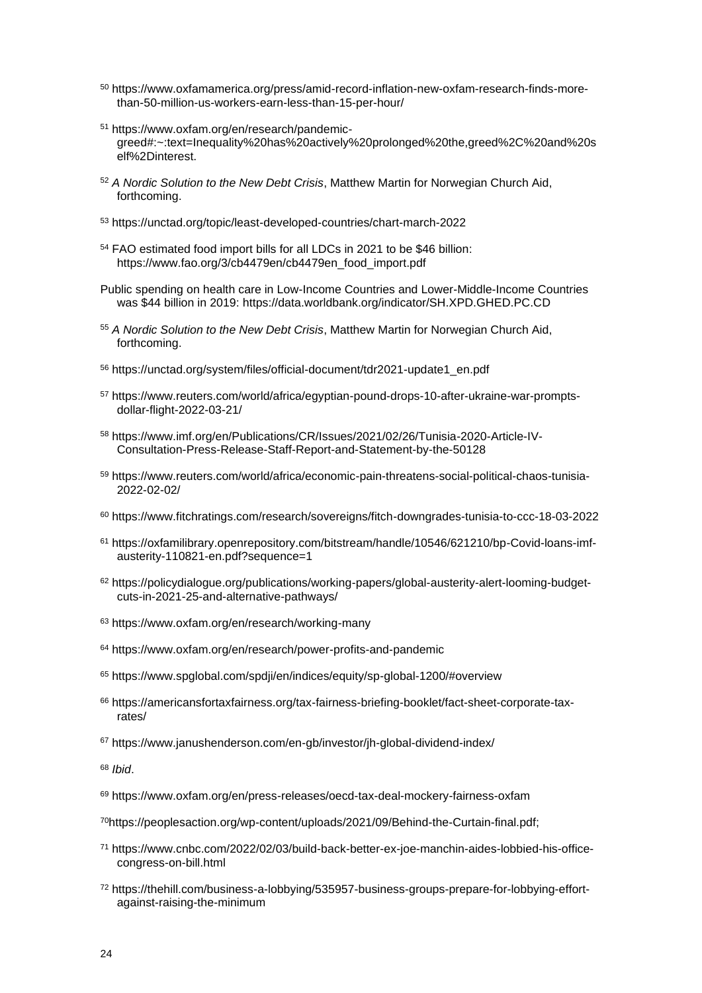- <sup>50</sup> https://www.oxfamamerica.org/press/amid-record-inflation-new-oxfam-research-finds-morethan-50-million-us-workers-earn-less-than-15-per-hour/
- <sup>51</sup> https://www.oxfam.org/en/research/pandemicgreed#:~:text=Inequality%20has%20actively%20prolonged%20the,greed%2C%20and%20s elf%2Dinterest.
- <sup>52</sup> *A Nordic Solution to the New Debt Crisis*, Matthew Martin for Norwegian Church Aid, forthcoming.
- <sup>53</sup> <https://unctad.org/topic/least-developed-countries/chart-march-2022>
- <sup>54</sup> FAO estimated food import bills for all LDCs in 2021 to be \$46 billion: [https://www.fao.org/3/cb4479en/cb4479en\\_food\\_import.pdf](https://www.fao.org/3/cb4479en/cb4479en_food_import.pdf)
- Public spending on health care in Low-Income Countries and Lower-Middle-Income Countries was \$44 billion in 2019:<https://data.worldbank.org/indicator/SH.XPD.GHED.PC.CD>
- <sup>55</sup> *A Nordic Solution to the New Debt Crisis*, Matthew Martin for Norwegian Church Aid, forthcoming.
- <sup>56</sup> https://unctad.org/system/files/official-document/tdr2021-update1\_en.pdf
- <sup>57</sup> https://www.reuters.com/world/africa/egyptian-pound-drops-10-after-ukraine-war-promptsdollar-flight-2022-03-21/
- <sup>58</sup> https://www.imf.org/en/Publications/CR/Issues/2021/02/26/Tunisia-2020-Article-IV-Consultation-Press-Release-Staff-Report-and-Statement-by-the-50128
- <sup>59</sup> https://www.reuters.com/world/africa/economic-pain-threatens-social-political-chaos-tunisia-2022-02-02/
- <sup>60</sup> https://www.fitchratings.com/research/sovereigns/fitch-downgrades-tunisia-to-ccc-18-03-2022
- <sup>61</sup> [https://oxfamilibrary.openrepository.com/bitstream/handle/10546/621210/bp-Covid-loans-imf](https://oxfamilibrary.openrepository.com/bitstream/handle/10546/621210/bp-covid-loans-imf-austerity-110821-en.pdf?sequence=1)[austerity-110821-en.pdf?sequence=1](https://oxfamilibrary.openrepository.com/bitstream/handle/10546/621210/bp-covid-loans-imf-austerity-110821-en.pdf?sequence=1)
- <sup>62</sup> https://policydialogue.org/publications/working-papers/global-austerity-alert-looming-budgetcuts-in-2021-25-and-alternative-pathways/
- <sup>63</sup> https://www.oxfam.org/en/research/working-many
- <sup>64</sup> https://www.oxfam.org/en/research/power-profits-and-pandemic
- <sup>65</sup> https://www.spglobal.com/spdji/en/indices/equity/sp-global-1200/#overview
- <sup>66</sup> https://americansfortaxfairness.org/tax-fairness-briefing-booklet/fact-sheet-corporate-taxrates/
- <sup>67</sup> https://www.janushenderson.com/en-gb/investor/jh-global-dividend-index/

<sup>68</sup> *Ibid*.

- <sup>69</sup> https://www.oxfam.org/en/press-releases/oecd-tax-deal-mockery-fairness-oxfam
- <sup>70</sup>[https://peoplesaction.org/wp-content/uploads/2021/09/Behind-the-Curtain-final.pdf;](https://peoplesaction.org/wp-content/uploads/2021/09/Behind-the-Curtain-final.pdf)
- <sup>71</sup> https://www.cnbc.com/2022/02/03/build-back-better-ex-joe-manchin-aides-lobbied-his-officecongress-on-bill.html
- <sup>72</sup> https://thehill.com/business-a-lobbying/535957-business-groups-prepare-for-lobbying-effortagainst-raising-the-minimum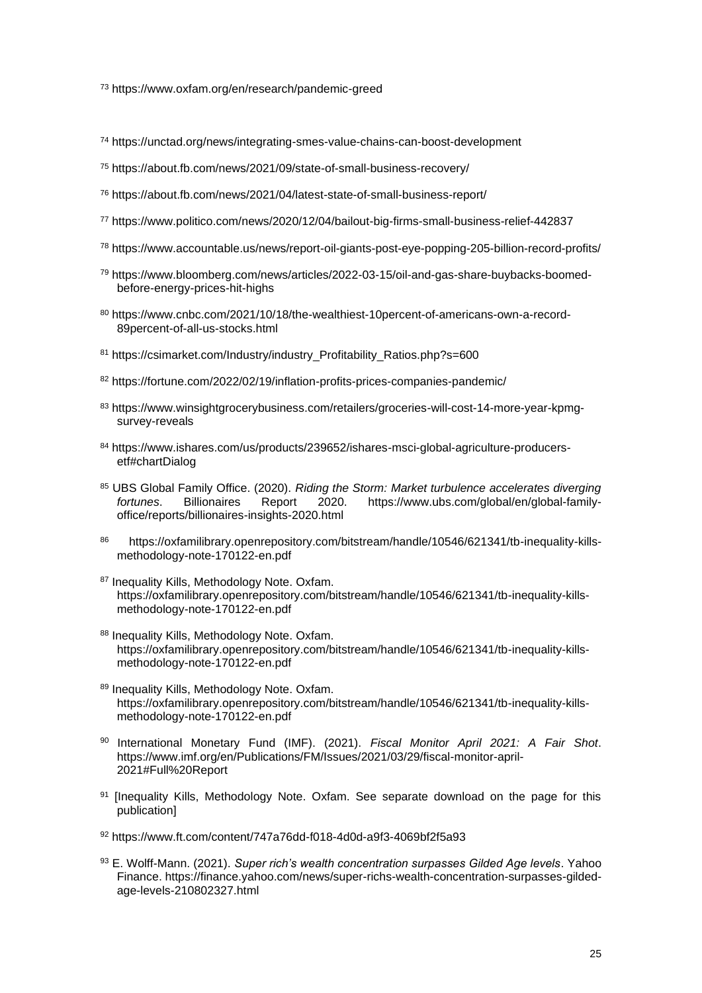<sup>73</sup> https://www.oxfam.org/en/research/pandemic-greed

- <sup>74</sup> https://unctad.org/news/integrating-smes-value-chains-can-boost-development
- <sup>75</sup> https://about.fb.com/news/2021/09/state-of-small-business-recovery/
- <sup>76</sup> https://about.fb.com/news/2021/04/latest-state-of-small-business-report/
- <sup>77</sup> https://www.politico.com/news/2020/12/04/bailout-big-firms-small-business-relief-442837
- <sup>78</sup> https://www.accountable.us/news/report-oil-giants-post-eye-popping-205-billion-record-profits/
- <sup>79</sup> https://www.bloomberg.com/news/articles/2022-03-15/oil-and-gas-share-buybacks-boomedbefore-energy-prices-hit-highs
- <sup>80</sup> https://www.cnbc.com/2021/10/18/the-wealthiest-10percent-of-americans-own-a-record-89percent-of-all-us-stocks.html
- <sup>81</sup> https://csimarket.com/Industry/industry\_Profitability\_Ratios.php?s=600
- <sup>82</sup> https://fortune.com/2022/02/19/inflation-profits-prices-companies-pandemic/
- <sup>83</sup> https://www.winsightgrocerybusiness.com/retailers/groceries-will-cost-14-more-year-kpmgsurvey-reveals
- <sup>84</sup> [https://www.ishares.com/us/products/239652/ishares-msci-global-agriculture-producers](https://www.ishares.com/us/products/239652/ishares-msci-global-agriculture-producers-etf#chartDialog)[etf#chartDialog](https://www.ishares.com/us/products/239652/ishares-msci-global-agriculture-producers-etf#chartDialog)
- <sup>85</sup> UBS Global Family Office. (2020). *Riding the Storm: Market turbulence accelerates diverging fortunes*. Billionaires Report 2020. [https://www.ubs.com/global/en/global-family](https://www.ubs.com/global/en/global-family-office/reports/billionaires-insights-2020.html)[office/reports/billionaires-insights-2020.html](https://www.ubs.com/global/en/global-family-office/reports/billionaires-insights-2020.html)
- 86 https://oxfamilibrary.openrepository.com/bitstream/handle/10546/621341/tb-inequality-killsmethodology-note-170122-en.pdf
- 87 Inequality Kills, Methodology Note. Oxfam. https://oxfamilibrary.openrepository.com/bitstream/handle/10546/621341/tb-inequality-killsmethodology-note-170122-en.pdf
- 88 Inequality Kills, Methodology Note, Oxfam. https://oxfamilibrary.openrepository.com/bitstream/handle/10546/621341/tb-inequality-killsmethodology-note-170122-en.pdf
- 89 Inequality Kills, Methodology Note. Oxfam. https://oxfamilibrary.openrepository.com/bitstream/handle/10546/621341/tb-inequality-killsmethodology-note-170122-en.pdf
- <sup>90</sup> International Monetary Fund (IMF). (2021). *Fiscal Monitor April 2021: A Fair Shot*. [https://www.imf.org/en/Publications/FM/Issues/2021/03/29/fiscal-monitor-april-](https://www.imf.org/en/Publications/FM/Issues/2021/03/29/fiscal-monitor-april-2021#Full%20Report)[2021#Full%20Report](https://www.imf.org/en/Publications/FM/Issues/2021/03/29/fiscal-monitor-april-2021#Full%20Report)
- <sup>91</sup> [Inequality Kills, Methodology Note. Oxfam. See separate download on the page for this publication]
- <sup>92</sup> <https://www.ft.com/content/747a76dd-f018-4d0d-a9f3-4069bf2f5a93>
- <sup>93</sup> E. Wolff-Mann. (2021). *Super rich's wealth concentration surpasses Gilded Age levels*. Yahoo Finance. [https://finance.yahoo.com/news/super-richs-wealth-concentration-surpasses-gilded](https://finance.yahoo.com/news/super-richs-wealth-concentration-surpasses-gilded-age-levels-210802327.html)[age-levels-210802327.html](https://finance.yahoo.com/news/super-richs-wealth-concentration-surpasses-gilded-age-levels-210802327.html)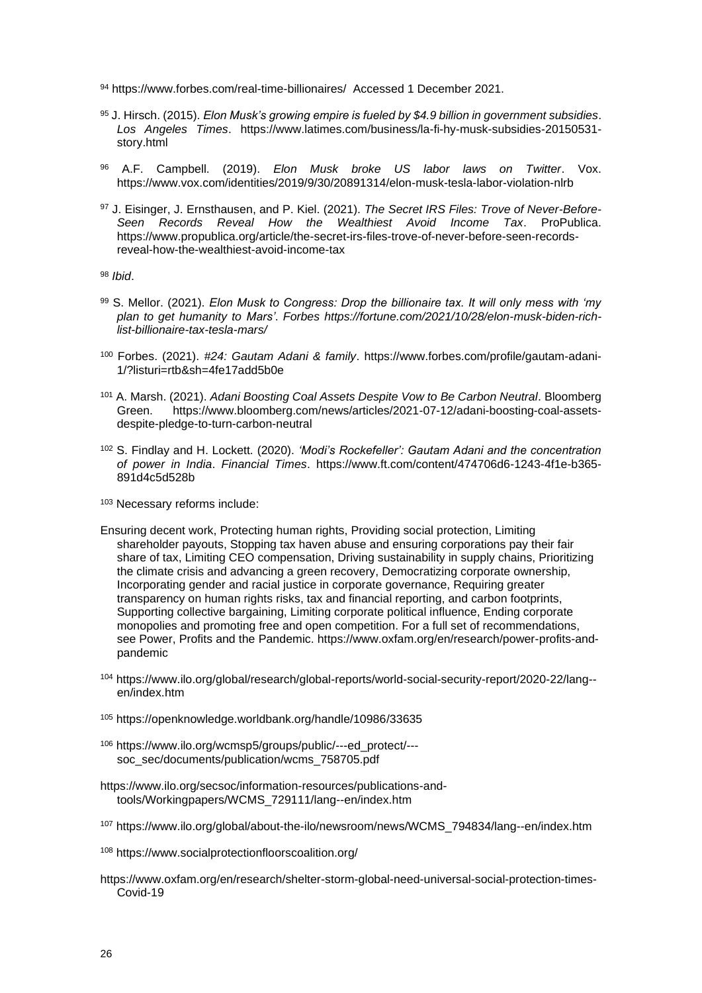- 94 <https://www.forbes.com/real-time-billionaires/>Accessed 1 December 2021.
- <sup>95</sup> J. Hirsch. (2015). *Elon Musk's growing empire is fueled by \$4.9 billion in government subsidies*. *Los Angeles Times*. [https://www.latimes.com/business/la-fi-hy-musk-subsidies-20150531](https://www.latimes.com/business/la-fi-hy-musk-subsidies-20150531-story.html) [story.html](https://www.latimes.com/business/la-fi-hy-musk-subsidies-20150531-story.html)
- <sup>96</sup> A.F. Campbell. (2019). *Elon Musk broke US labor laws on Twitter*. Vox. <https://www.vox.com/identities/2019/9/30/20891314/elon-musk-tesla-labor-violation-nlrb>
- <sup>97</sup> J. Eisinger, J. Ernsthausen, and P. Kiel. (2021). *The Secret IRS Files: Trove of Never-Before-Seen Records Reveal How the Wealthiest Avoid Income Tax*. ProPublica. [https://www.propublica.org/article/the-secret-irs-files-trove-of-never-before-seen-records](https://www.propublica.org/article/the-secret-irs-files-trove-of-never-before-seen-records-reveal-how-the-wealthiest-avoid-income-tax)[reveal-how-the-wealthiest-avoid-income-tax](https://www.propublica.org/article/the-secret-irs-files-trove-of-never-before-seen-records-reveal-how-the-wealthiest-avoid-income-tax)

<sup>98</sup> *Ibid*.

- <sup>99</sup> S. Mellor. (2021). *Elon Musk to Congress: Drop the billionaire tax. It will only mess with 'my plan to get humanity to Mars'*. *Forbes https://fortune.com/2021/10/28/elon-musk-biden-richlist-billionaire-tax-tesla-mars/*
- <sup>100</sup> Forbes. (2021). *#24: Gautam Adani & family*. [https://www.forbes.com/profile/gautam-adani-](https://www.forbes.com/profile/gautam-adani-1/?listuri=rtb&sh=4fe17add5b0e)[1/?listuri=rtb&sh=4fe17add5b0e](https://www.forbes.com/profile/gautam-adani-1/?listuri=rtb&sh=4fe17add5b0e)
- <sup>101</sup> A. Marsh. (2021). *Adani Boosting Coal Assets Despite Vow to Be Carbon Neutral*. Bloomberg Green. [https://www.bloomberg.com/news/articles/2021-07-12/adani-boosting-coal-assets](https://www.bloomberg.com/news/articles/2021-07-12/adani-boosting-coal-assets-despite-pledge-to-turn-carbon-neutral)[despite-pledge-to-turn-carbon-neutral](https://www.bloomberg.com/news/articles/2021-07-12/adani-boosting-coal-assets-despite-pledge-to-turn-carbon-neutral)
- <sup>102</sup> S. Findlay and H. Lockett. (2020). *'Modi's Rockefeller': Gautam Adani and the concentration of power in India*. *Financial Times*. [https://www.ft.com/content/474706d6-1243-4f1e-b365-](https://www.ft.com/content/474706d6-1243-4f1e-b365-891d4c5d528b) [891d4c5d528b](https://www.ft.com/content/474706d6-1243-4f1e-b365-891d4c5d528b)
- <sup>103</sup> Necessary reforms include:
- Ensuring decent work, Protecting human rights, Providing social protection, Limiting shareholder payouts, Stopping tax haven abuse and ensuring corporations pay their fair share of tax, Limiting CEO compensation, Driving sustainability in supply chains, Prioritizing the climate crisis and advancing a green recovery, Democratizing corporate ownership, Incorporating gender and racial justice in corporate governance, Requiring greater transparency on human rights risks, tax and financial reporting, and carbon footprints, Supporting collective bargaining, Limiting corporate political influence, Ending corporate monopolies and promoting free and open competition. For a full set of recommendations, see Power, Profits and the Pandemic. [https://www.oxfam.org/en/research/power-profits-and](https://www.oxfam.org/en/research/power-profits-and-pandemic)[pandemic](https://www.oxfam.org/en/research/power-profits-and-pandemic)
- <sup>104</sup> [https://www.ilo.org/global/research/global-reports/world-social-security-report/2020-22/lang-](https://www.ilo.org/global/research/global-reports/world-social-security-report/2020-22/lang--en/index.htm) [en/index.htm](https://www.ilo.org/global/research/global-reports/world-social-security-report/2020-22/lang--en/index.htm)
- <sup>105</sup> <https://openknowledge.worldbank.org/handle/10986/33635>
- <sup>106</sup> [https://www.ilo.org/wcmsp5/groups/public/---ed\\_protect/--](https://www.ilo.org/wcmsp5/groups/public/---ed_protect/---soc_sec/documents/publication/wcms_758705.pdf) [soc\\_sec/documents/publication/wcms\\_758705.pdf](https://www.ilo.org/wcmsp5/groups/public/---ed_protect/---soc_sec/documents/publication/wcms_758705.pdf)
- [https://www.ilo.org/secsoc/information-resources/publications-and](https://www.ilo.org/secsoc/information-resources/publications-and-tools/Workingpapers/WCMS_729111/lang--en/index.htm)[tools/Workingpapers/WCMS\\_729111/lang--en/index.htm](https://www.ilo.org/secsoc/information-resources/publications-and-tools/Workingpapers/WCMS_729111/lang--en/index.htm)
- <sup>107</sup> [https://www.ilo.org/global/about-the-ilo/newsroom/news/WCMS\\_794834/lang--en/index.htm](https://www.ilo.org/global/about-the-ilo/newsroom/news/WCMS_794834/lang--en/index.htm)
- <sup>108</sup> <https://www.socialprotectionfloorscoalition.org/>
- [https://www.oxfam.org/en/research/shelter-storm-global-need-universal-social-protection-times-](https://www.oxfam.org/en/research/shelter-storm-global-need-universal-social-protection-times-covid-19)[Covid-19](https://www.oxfam.org/en/research/shelter-storm-global-need-universal-social-protection-times-covid-19)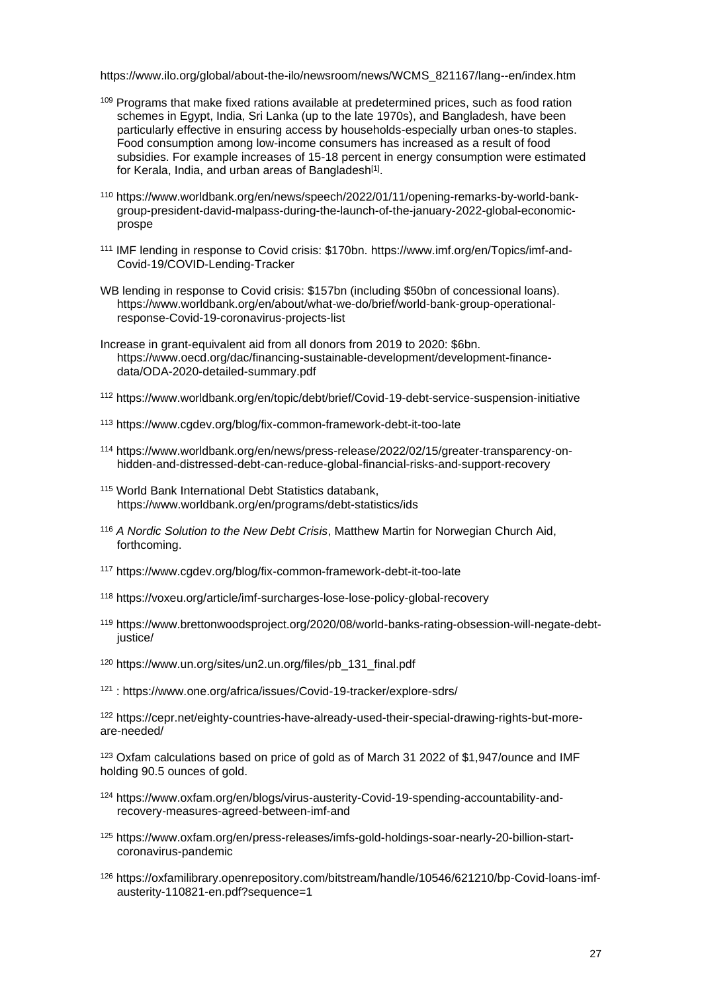[https://www.ilo.org/global/about-the-ilo/newsroom/news/WCMS\\_821167/lang--en/index.htm](https://www.ilo.org/global/about-the-ilo/newsroom/news/WCMS_821167/lang--en/index.htm)

- <sup>109</sup> Programs that make fixed rations available at predetermined prices, such as food ration schemes in Egypt, India, Sri Lanka (up to the late 1970s), and Bangladesh, have been particularly effective in ensuring access by households-especially urban ones-to staples. Food consumption among low-income consumers has increased as a result of food subsidies. For example increases of 15-18 percent in energy consumption were estimated for Kerala, India, and urban areas of Bangladesh<sup>[1]</sup>.
- <sup>110</sup> [https://www.worldbank.org/en/news/speech/2022/01/11/opening-remarks-by-world-bank](https://www.worldbank.org/en/news/speech/2022/01/11/opening-remarks-by-world-bank-group-president-david-malpass-during-the-launch-of-the-january-2022-global-economic-prospe)[group-president-david-malpass-during-the-launch-of-the-january-2022-global-economic](https://www.worldbank.org/en/news/speech/2022/01/11/opening-remarks-by-world-bank-group-president-david-malpass-during-the-launch-of-the-january-2022-global-economic-prospe)[prospe](https://www.worldbank.org/en/news/speech/2022/01/11/opening-remarks-by-world-bank-group-president-david-malpass-during-the-launch-of-the-january-2022-global-economic-prospe)
- <sup>111</sup> IMF lending in response to Covid crisis: \$170bn. [https://www.imf.org/en/Topics/imf-and-](https://www.imf.org/en/Topics/imf-and-covid19/COVID-Lending-Tracker)[Covid-19/COVID-Lending-Tracker](https://www.imf.org/en/Topics/imf-and-covid19/COVID-Lending-Tracker)
- WB lending in response to Covid crisis: \$157bn (including \$50bn of concessional loans). https://www.worldbank.org/en/about/what-we-do/brief/world-bank-group-operationalresponse-Covid-19-coronavirus-projects-list
- Increase in grant-equivalent aid from all donors from 2019 to 2020: \$6bn. [https://www.oecd.org/dac/financing-sustainable-development/development-finance](https://www.oecd.org/dac/financing-sustainable-development/development-finance-data/ODA-2020-detailed-summary.pdf)[data/ODA-2020-detailed-summary.pdf](https://www.oecd.org/dac/financing-sustainable-development/development-finance-data/ODA-2020-detailed-summary.pdf)
- <sup>112</sup> [https://www.worldbank.org/en/topic/debt/brief/Covid-19-debt-service-suspension-initiative](https://www.worldbank.org/en/topic/debt/brief/covid-19-debt-service-suspension-initiative)
- <sup>113</sup> <https://www.cgdev.org/blog/fix-common-framework-debt-it-too-late>
- <sup>114</sup> [https://www.worldbank.org/en/news/press-release/2022/02/15/greater-transparency-on](https://www.worldbank.org/en/news/press-release/2022/02/15/greater-transparency-on-hidden-and-distressed-debt-can-reduce-global-financial-risks-and-support-recovery)[hidden-and-distressed-debt-can-reduce-global-financial-risks-and-support-recovery](https://www.worldbank.org/en/news/press-release/2022/02/15/greater-transparency-on-hidden-and-distressed-debt-can-reduce-global-financial-risks-and-support-recovery)
- <sup>115</sup> World Bank International Debt Statistics databank, <https://www.worldbank.org/en/programs/debt-statistics/ids>
- <sup>116</sup> *A Nordic Solution to the New Debt Crisis*, Matthew Martin for Norwegian Church Aid, forthcoming.
- <sup>117</sup> <https://www.cgdev.org/blog/fix-common-framework-debt-it-too-late>
- <sup>118</sup> <https://voxeu.org/article/imf-surcharges-lose-lose-policy-global-recovery>
- <sup>119</sup> [https://www.brettonwoodsproject.org/2020/08/world-banks-rating-obsession-will-negate-debt](https://www.brettonwoodsproject.org/2020/08/world-banks-rating-obsession-will-negate-debt-justice/)[justice/](https://www.brettonwoodsproject.org/2020/08/world-banks-rating-obsession-will-negate-debt-justice/)
- <sup>120</sup> [https://www.un.org/sites/un2.un.org/files/pb\\_131\\_final.pdf](https://www.un.org/sites/un2.un.org/files/pb_131_final.pdf)
- <sup>121</sup> : [https://www.one.org/africa/issues/Covid-19-tracker/explore-sdrs/](https://www.one.org/africa/issues/covid-19-tracker/explore-sdrs/)

<sup>122</sup> [https://cepr.net/eighty-countries-have-already-used-their-special-drawing-rights-but-more](https://cepr.net/eighty-countries-have-already-used-their-special-drawing-rights-but-more-are-needed/)[are-needed/](https://cepr.net/eighty-countries-have-already-used-their-special-drawing-rights-but-more-are-needed/)

<sup>123</sup> Oxfam calculations based on price of gold as of March 31 2022 of \$1,947/ounce and IMF holding 90.5 ounces of gold.

- <sup>124</sup> https://www.oxfam.org/en/blogs/virus-austerity-Covid-19-spending-accountability-andrecovery-measures-agreed-between-imf-and
- <sup>125</sup> [https://www.oxfam.org/en/press-releases/imfs-gold-holdings-soar-nearly-20-billion-start](https://www.oxfam.org/en/press-releases/imfs-gold-holdings-soar-nearly-20-billion-start-coronavirus-pandemic)[coronavirus-pandemic](https://www.oxfam.org/en/press-releases/imfs-gold-holdings-soar-nearly-20-billion-start-coronavirus-pandemic)
- <sup>126</sup> [https://oxfamilibrary.openrepository.com/bitstream/handle/10546/621210/bp-Covid-loans-imf](https://oxfamilibrary.openrepository.com/bitstream/handle/10546/621210/bp-covid-loans-imf-austerity-110821-en.pdf?sequence=1)[austerity-110821-en.pdf?sequence=1](https://oxfamilibrary.openrepository.com/bitstream/handle/10546/621210/bp-covid-loans-imf-austerity-110821-en.pdf?sequence=1)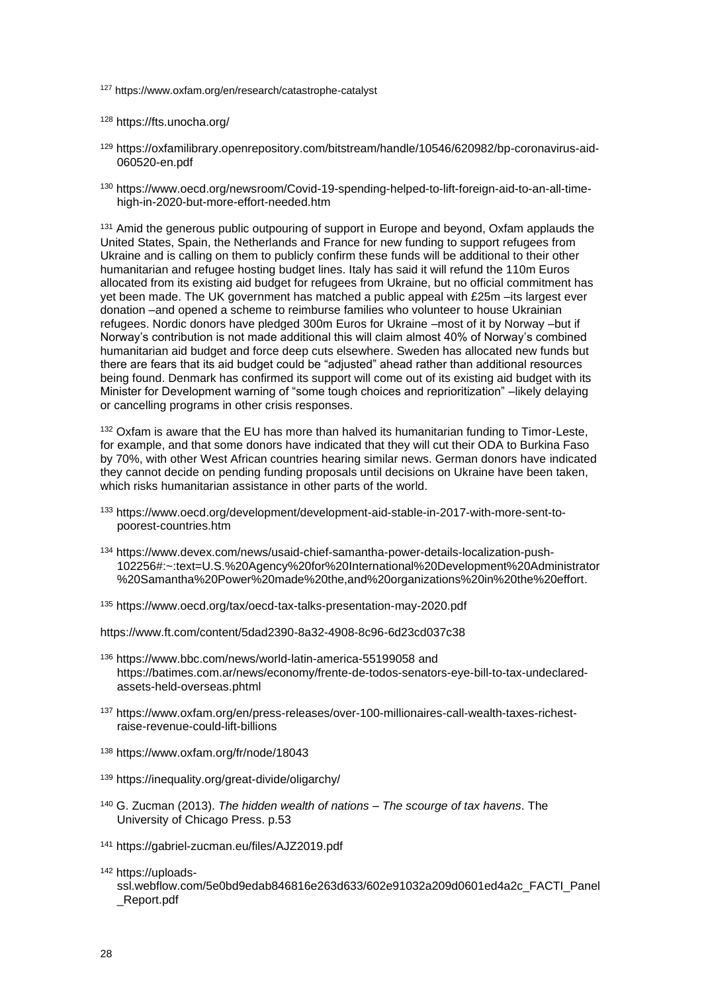<sup>127</sup> https://www.oxfam.org/en/research/catastrophe-catalyst

<sup>128</sup> <https://fts.unocha.org/>

- <sup>129</sup> [https://oxfamilibrary.openrepository.com/bitstream/handle/10546/620982/bp-coronavirus-aid-](https://oxfamilibrary.openrepository.com/bitstream/handle/10546/620982/bp-coronavirus-aid-060520-en.pdf)[060520-en.pdf](https://oxfamilibrary.openrepository.com/bitstream/handle/10546/620982/bp-coronavirus-aid-060520-en.pdf)
- <sup>130</sup> [https://www.oecd.org/newsroom/Covid-19-spending-helped-to-lift-foreign-aid-to-an-all-time](https://www.oecd.org/newsroom/covid-19-spending-helped-to-lift-foreign-aid-to-an-all-time-high-in-2020-but-more-effort-needed.htm)[high-in-2020-but-more-effort-needed.htm](https://www.oecd.org/newsroom/covid-19-spending-helped-to-lift-foreign-aid-to-an-all-time-high-in-2020-but-more-effort-needed.htm)

<sup>131</sup> Amid the generous public outpouring of support in Europe and beyond, Oxfam applauds the United States, Spain, the Netherlands and France for new funding to support refugees from Ukraine and is calling on them to publicly confirm these funds will be additional to their other humanitarian and refugee hosting budget lines. Italy has said it will refund the 110m Euros allocated from its existing aid budget for refugees from Ukraine, but no official commitment has yet been made. The UK government has matched a public appeal with £25m –its largest ever donation –and opened a scheme to reimburse families who volunteer to house Ukrainian refugees. Nordic donors have pledged 300m Euros for Ukraine –most of it by Norway –but if Norway's contribution is not made additional this will claim almost 40% of Norway's combined humanitarian aid budget and force deep cuts elsewhere. Sweden has allocated new funds but there are fears that its aid budget could be "adjusted" ahead rather than additional resources being found. Denmark has confirmed its support will come out of its existing aid budget with its Minister for Development warning of "some tough choices and reprioritization" –likely delaying or cancelling programs in other crisis responses.

132 Oxfam is aware that the EU has more than halved its humanitarian funding to Timor-Leste, for example, and that some donors have indicated that they will cut their ODA to Burkina Faso by 70%, with other West African countries hearing similar news. German donors have indicated they cannot decide on pending funding proposals until decisions on Ukraine have been taken, which risks humanitarian assistance in other parts of the world.

- <sup>133</sup> [https://www.oecd.org/development/development-aid-stable-in-2017-with-more-sent-to](https://www.oecd.org/development/development-aid-stable-in-2017-with-more-sent-to-poorest-countries.htm)[poorest-countries.htm](https://www.oecd.org/development/development-aid-stable-in-2017-with-more-sent-to-poorest-countries.htm)
- <sup>134</sup> [https://www.devex.com/news/usaid-chief-samantha-power-details-localization-push-](https://www.devex.com/news/usaid-chief-samantha-power-details-localization-push-102256#:~:text=U.S.%20Agency%20for%20International%20Development%20Administrator%20Samantha%20Power%20made%20the,and%20organizations%20in%20the%20effort)[102256#:~:text=U.S.%20Agency%20for%20International%20Development%20Administrator](https://www.devex.com/news/usaid-chief-samantha-power-details-localization-push-102256#:~:text=U.S.%20Agency%20for%20International%20Development%20Administrator%20Samantha%20Power%20made%20the,and%20organizations%20in%20the%20effort) [%20Samantha%20Power%20made%20the,and%20organizations%20in%20the%20effort.](https://www.devex.com/news/usaid-chief-samantha-power-details-localization-push-102256#:~:text=U.S.%20Agency%20for%20International%20Development%20Administrator%20Samantha%20Power%20made%20the,and%20organizations%20in%20the%20effort)
- <sup>135</sup> <https://www.oecd.org/tax/oecd-tax-talks-presentation-may-2020.pdf>

<https://www.ft.com/content/5dad2390-8a32-4908-8c96-6d23cd037c38>

- <sup>136</sup> <https://www.bbc.com/news/world-latin-america-55199058> and [https://batimes.com.ar/news/economy/frente-de-todos-senators-eye-bill-to-tax-undeclared](https://batimes.com.ar/news/economy/frente-de-todos-senators-eye-bill-to-tax-undeclared-assets-held-overseas.phtml)[assets-held-overseas.phtml](https://batimes.com.ar/news/economy/frente-de-todos-senators-eye-bill-to-tax-undeclared-assets-held-overseas.phtml)
- <sup>137</sup> [https://www.oxfam.org/en/press-releases/over-100-millionaires-call-wealth-taxes-richest](https://www.oxfam.org/en/press-releases/over-100-millionaires-call-wealth-taxes-richest-raise-revenue-could-lift-billions)[raise-revenue-could-lift-billions](https://www.oxfam.org/en/press-releases/over-100-millionaires-call-wealth-taxes-richest-raise-revenue-could-lift-billions)
- <sup>138</sup> <https://www.oxfam.org/fr/node/18043>
- <sup>139</sup> <https://inequality.org/great-divide/oligarchy/>
- <sup>140</sup> G. Zucman (2013). *The hidden wealth of nations – The scourge of tax havens*. The University of Chicago Press. p.53
- <sup>141</sup> <https://gabriel-zucman.eu/files/AJZ2019.pdf>
- <sup>142</sup> [https://uploads-](https://uploads-ssl.webflow.com/5e0bd9edab846816e263d633/602e91032a209d0601ed4a2c_FACTI_Panel_Report.pdf)

[ssl.webflow.com/5e0bd9edab846816e263d633/602e91032a209d0601ed4a2c\\_FACTI\\_Panel](https://uploads-ssl.webflow.com/5e0bd9edab846816e263d633/602e91032a209d0601ed4a2c_FACTI_Panel_Report.pdf) [\\_Report.pdf](https://uploads-ssl.webflow.com/5e0bd9edab846816e263d633/602e91032a209d0601ed4a2c_FACTI_Panel_Report.pdf)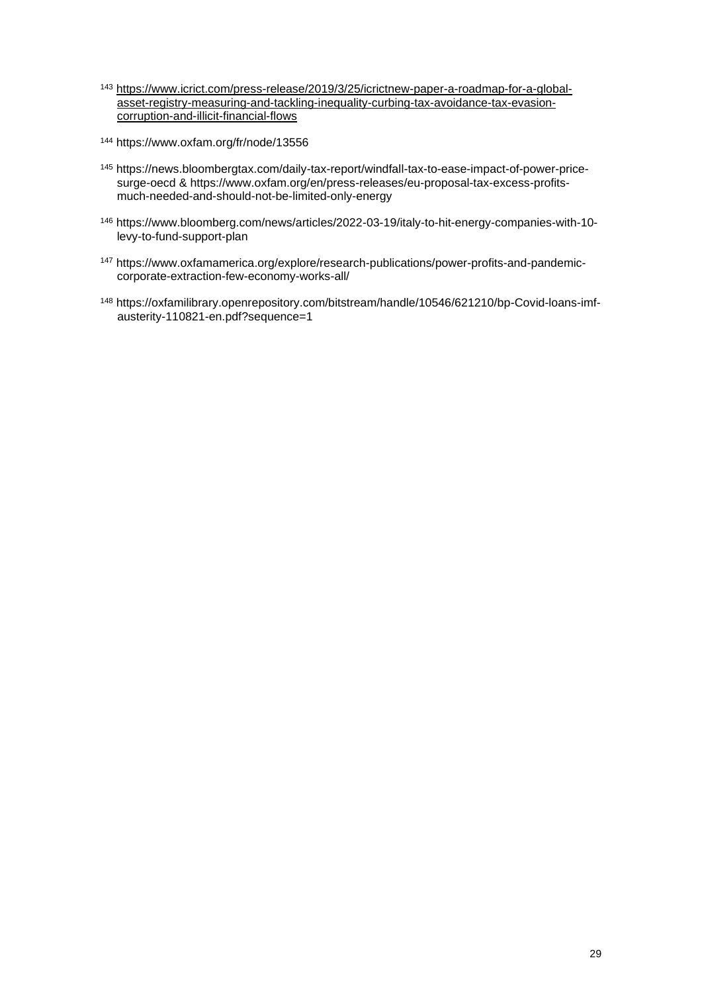- <sup>143</sup> [https://www.icrict.com/press-release/2019/3/25/icrictnew-paper-a-roadmap-for-a-global](https://www.icrict.com/press-release/2019/3/25/icrictnew-paper-a-roadmap-for-a-global-asset-registry-measuring-and-tackling-inequality-curbing-tax-avoidance-tax-evasion-corruption-and-illicit-financial-flows)[asset-registry-measuring-and-tackling-inequality-curbing-tax-avoidance-tax-evasion](https://www.icrict.com/press-release/2019/3/25/icrictnew-paper-a-roadmap-for-a-global-asset-registry-measuring-and-tackling-inequality-curbing-tax-avoidance-tax-evasion-corruption-and-illicit-financial-flows)[corruption-and-illicit-financial-flows](https://www.icrict.com/press-release/2019/3/25/icrictnew-paper-a-roadmap-for-a-global-asset-registry-measuring-and-tackling-inequality-curbing-tax-avoidance-tax-evasion-corruption-and-illicit-financial-flows)
- <sup>144</sup> <https://www.oxfam.org/fr/node/13556>
- <sup>145</sup> [https://news.bloombergtax.com/daily-tax-report/windfall-tax-to-ease-impact-of-power-price](https://news.bloombergtax.com/daily-tax-report/windfall-tax-to-ease-impact-of-power-price-surge-oecd)[surge-oecd](https://news.bloombergtax.com/daily-tax-report/windfall-tax-to-ease-impact-of-power-price-surge-oecd) & [https://www.oxfam.org/en/press-releases/eu-proposal-tax-excess-profits](https://www.oxfam.org/en/press-releases/eu-proposal-tax-excess-profits-much-needed-and-should-not-be-limited-only-energy)[much-needed-and-should-not-be-limited-only-energy](https://www.oxfam.org/en/press-releases/eu-proposal-tax-excess-profits-much-needed-and-should-not-be-limited-only-energy)
- <sup>146</sup> [https://www.bloomberg.com/news/articles/2022-03-19/italy-to-hit-energy-companies-with-10](https://www.bloomberg.com/news/articles/2022-03-19/italy-to-hit-energy-companies-with-10-levy-to-fund-support-plan) [levy-to-fund-support-plan](https://www.bloomberg.com/news/articles/2022-03-19/italy-to-hit-energy-companies-with-10-levy-to-fund-support-plan)
- <sup>147</sup> [https://www.oxfamamerica.org/explore/research-publications/power-profits-and-pandemic](https://www.oxfamamerica.org/explore/research-publications/power-profits-and-pandemic-corporate-extraction-few-economy-works-all/)[corporate-extraction-few-economy-works-all/](https://www.oxfamamerica.org/explore/research-publications/power-profits-and-pandemic-corporate-extraction-few-economy-works-all/)
- <sup>148</sup> [https://oxfamilibrary.openrepository.com/bitstream/handle/10546/621210/bp-Covid-loans-imf](https://oxfamilibrary.openrepository.com/bitstream/handle/10546/621210/bp-covid-loans-imf-austerity-110821-en.pdf?sequence=1)[austerity-110821-en.pdf?sequence=1](https://oxfamilibrary.openrepository.com/bitstream/handle/10546/621210/bp-covid-loans-imf-austerity-110821-en.pdf?sequence=1)